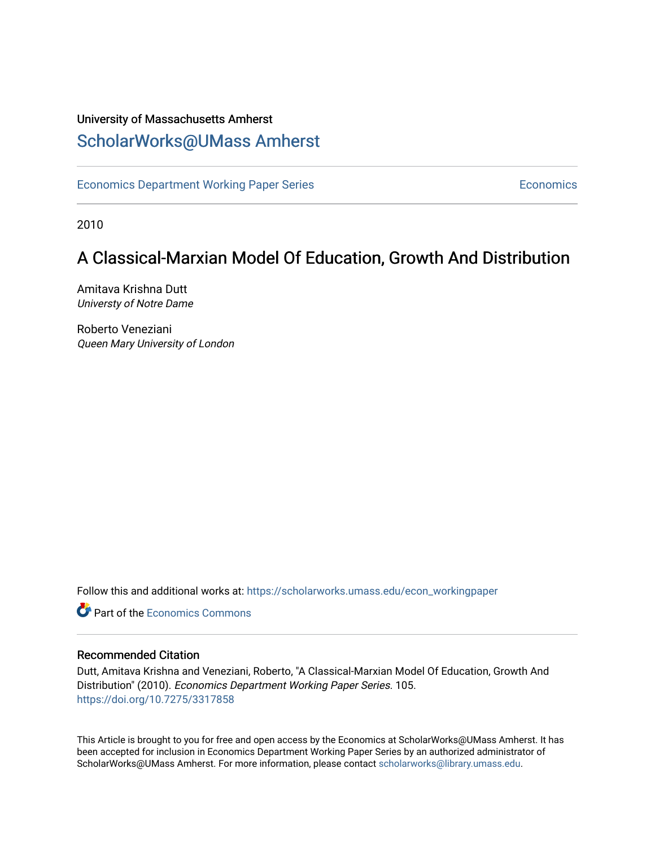### University of Massachusetts Amherst [ScholarWorks@UMass Amherst](https://scholarworks.umass.edu/)

[Economics Department Working Paper Series](https://scholarworks.umass.edu/econ_workingpaper) **Economics** Economics

2010

## A Classical-Marxian Model Of Education, Growth And Distribution

Amitava Krishna Dutt Universty of Notre Dame

Roberto Veneziani Queen Mary University of London

Follow this and additional works at: [https://scholarworks.umass.edu/econ\\_workingpaper](https://scholarworks.umass.edu/econ_workingpaper?utm_source=scholarworks.umass.edu%2Fecon_workingpaper%2F105&utm_medium=PDF&utm_campaign=PDFCoverPages) 

**C** Part of the [Economics Commons](http://network.bepress.com/hgg/discipline/340?utm_source=scholarworks.umass.edu%2Fecon_workingpaper%2F105&utm_medium=PDF&utm_campaign=PDFCoverPages)

#### Recommended Citation

Dutt, Amitava Krishna and Veneziani, Roberto, "A Classical-Marxian Model Of Education, Growth And Distribution" (2010). Economics Department Working Paper Series. 105. <https://doi.org/10.7275/3317858>

This Article is brought to you for free and open access by the Economics at ScholarWorks@UMass Amherst. It has been accepted for inclusion in Economics Department Working Paper Series by an authorized administrator of ScholarWorks@UMass Amherst. For more information, please contact [scholarworks@library.umass.edu.](mailto:scholarworks@library.umass.edu)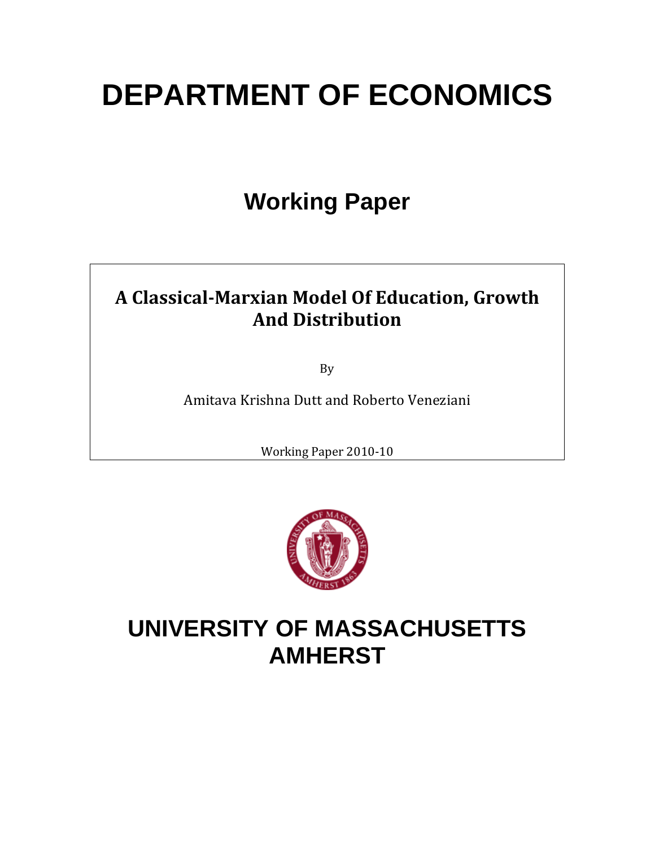# **DEPARTMENT OF ECONOMICS**

# **Working Paper**

# **A ClassicalMarxian Model Of Education, Growth And Distribution**

By

Amitava Krishna Dutt and Roberto Veneziani

Working Paper 2010‐10



# **UNIVERSITY OF MASSACHUSETTS AMHERST**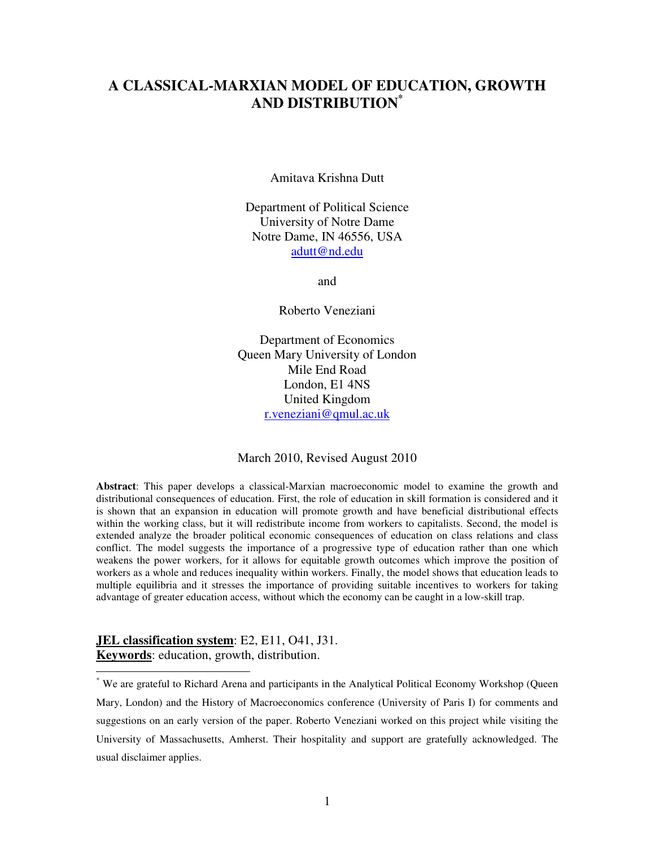### **A CLASSICAL-MARXIAN MODEL OF EDUCATION, GROWTH AND DISTRIBUTION\***

Amitava Krishna Dutt

Department of Political Science University of Notre Dame Notre Dame, IN 46556, USA adutt@nd.edu

and

Roberto Veneziani

Department of Economics Queen Mary University of London Mile End Road London, E1 4NS United Kingdom r.veneziani@qmul.ac.uk

March 2010, Revised August 2010

**Abstract**: This paper develops a classical-Marxian macroeconomic model to examine the growth and distributional consequences of education. First, the role of education in skill formation is considered and it is shown that an expansion in education will promote growth and have beneficial distributional effects within the working class, but it will redistribute income from workers to capitalists. Second, the model is extended analyze the broader political economic consequences of education on class relations and class conflict. The model suggests the importance of a progressive type of education rather than one which weakens the power workers, for it allows for equitable growth outcomes which improve the position of workers as a whole and reduces inequality within workers. Finally, the model shows that education leads to multiple equilibria and it stresses the importance of providing suitable incentives to workers for taking advantage of greater education access, without which the economy can be caught in a low-skill trap.

#### **JEL classification system**: E2, E11, O41, J31. **Keywords**: education, growth, distribution.

 $\overline{a}$ 

<sup>\*</sup> We are grateful to Richard Arena and participants in the Analytical Political Economy Workshop (Queen Mary, London) and the History of Macroeconomics conference (University of Paris I) for comments and suggestions on an early version of the paper. Roberto Veneziani worked on this project while visiting the University of Massachusetts, Amherst. Their hospitality and support are gratefully acknowledged. The usual disclaimer applies.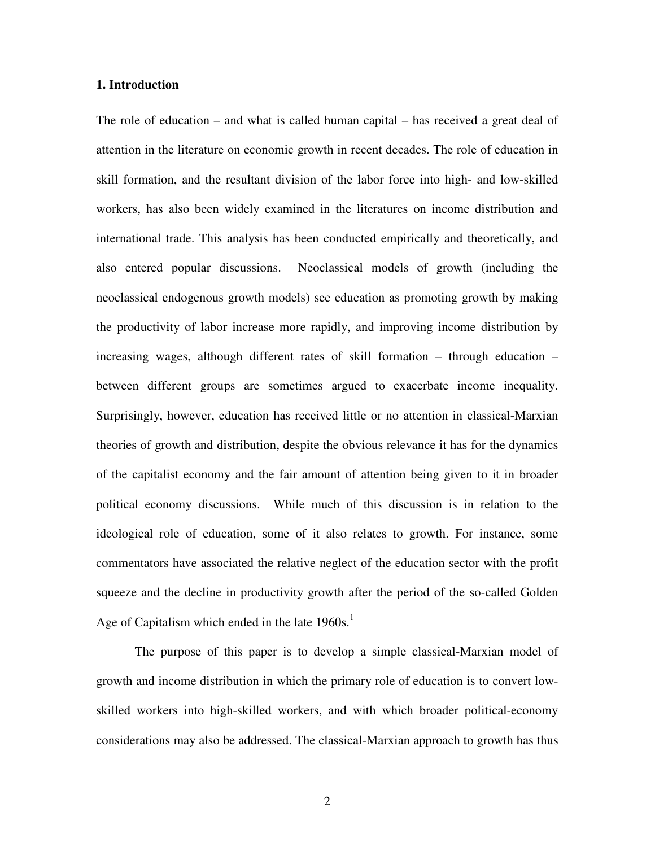#### **1. Introduction**

The role of education – and what is called human capital – has received a great deal of attention in the literature on economic growth in recent decades. The role of education in skill formation, and the resultant division of the labor force into high- and low-skilled workers, has also been widely examined in the literatures on income distribution and international trade. This analysis has been conducted empirically and theoretically, and also entered popular discussions. Neoclassical models of growth (including the neoclassical endogenous growth models) see education as promoting growth by making the productivity of labor increase more rapidly, and improving income distribution by increasing wages, although different rates of skill formation – through education – between different groups are sometimes argued to exacerbate income inequality. Surprisingly, however, education has received little or no attention in classical-Marxian theories of growth and distribution, despite the obvious relevance it has for the dynamics of the capitalist economy and the fair amount of attention being given to it in broader political economy discussions. While much of this discussion is in relation to the ideological role of education, some of it also relates to growth. For instance, some commentators have associated the relative neglect of the education sector with the profit squeeze and the decline in productivity growth after the period of the so-called Golden Age of Capitalism which ended in the late  $1960s$ .<sup>1</sup>

 The purpose of this paper is to develop a simple classical-Marxian model of growth and income distribution in which the primary role of education is to convert lowskilled workers into high-skilled workers, and with which broader political-economy considerations may also be addressed. The classical-Marxian approach to growth has thus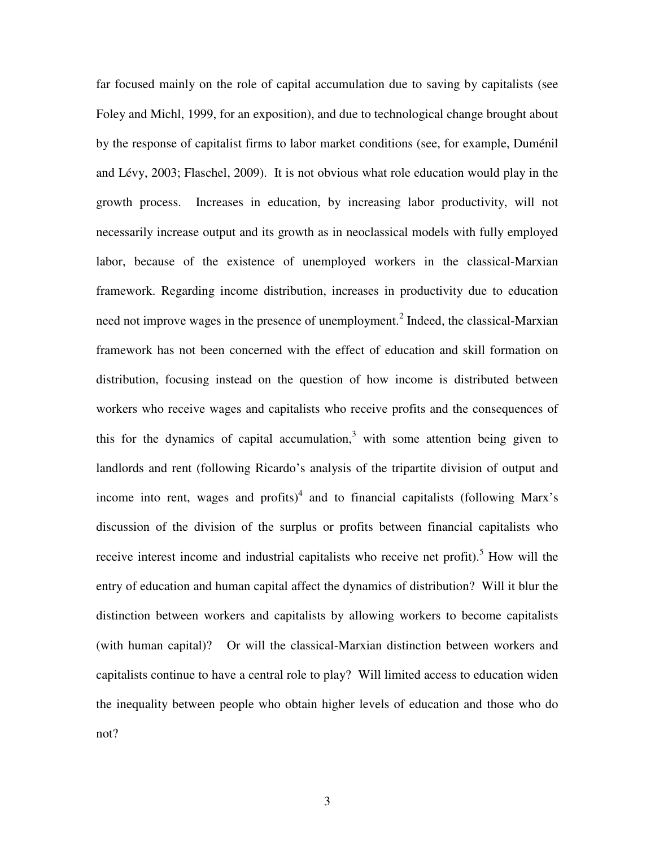far focused mainly on the role of capital accumulation due to saving by capitalists (see Foley and Michl, 1999, for an exposition), and due to technological change brought about by the response of capitalist firms to labor market conditions (see, for example, Duménil and Lévy, 2003; Flaschel, 2009). It is not obvious what role education would play in the growth process. Increases in education, by increasing labor productivity, will not necessarily increase output and its growth as in neoclassical models with fully employed labor, because of the existence of unemployed workers in the classical-Marxian framework. Regarding income distribution, increases in productivity due to education need not improve wages in the presence of unemployment.<sup>2</sup> Indeed, the classical-Marxian framework has not been concerned with the effect of education and skill formation on distribution, focusing instead on the question of how income is distributed between workers who receive wages and capitalists who receive profits and the consequences of this for the dynamics of capital accumulation, $3$  with some attention being given to landlords and rent (following Ricardo's analysis of the tripartite division of output and income into rent, wages and profits) $<sup>4</sup>$  and to financial capitalists (following Marx's</sup> discussion of the division of the surplus or profits between financial capitalists who receive interest income and industrial capitalists who receive net profit).<sup>5</sup> How will the entry of education and human capital affect the dynamics of distribution? Will it blur the distinction between workers and capitalists by allowing workers to become capitalists (with human capital)? Or will the classical-Marxian distinction between workers and capitalists continue to have a central role to play? Will limited access to education widen the inequality between people who obtain higher levels of education and those who do not?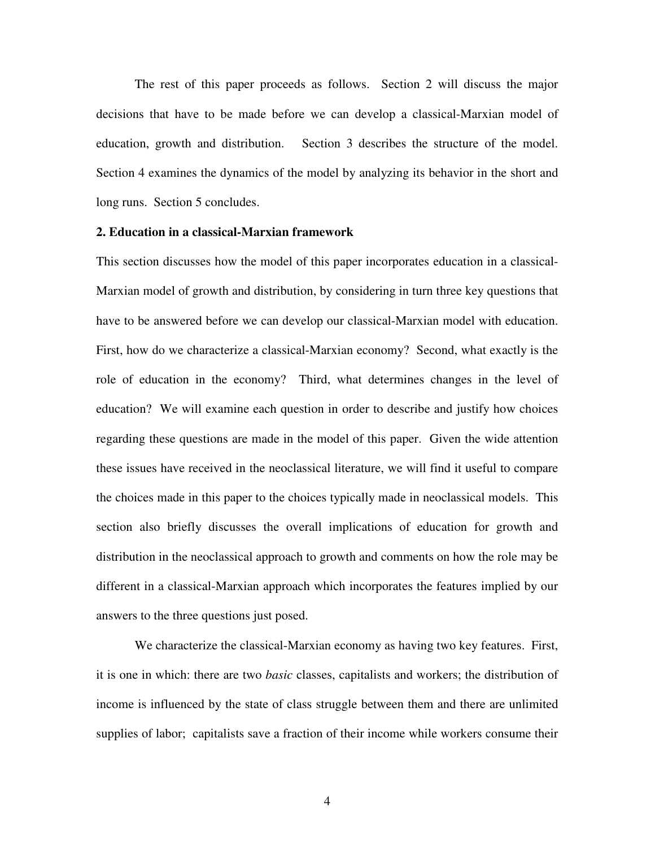The rest of this paper proceeds as follows. Section 2 will discuss the major decisions that have to be made before we can develop a classical-Marxian model of education, growth and distribution. Section 3 describes the structure of the model. Section 4 examines the dynamics of the model by analyzing its behavior in the short and long runs. Section 5 concludes.

#### **2. Education in a classical-Marxian framework**

This section discusses how the model of this paper incorporates education in a classical-Marxian model of growth and distribution, by considering in turn three key questions that have to be answered before we can develop our classical-Marxian model with education. First, how do we characterize a classical-Marxian economy? Second, what exactly is the role of education in the economy? Third, what determines changes in the level of education? We will examine each question in order to describe and justify how choices regarding these questions are made in the model of this paper. Given the wide attention these issues have received in the neoclassical literature, we will find it useful to compare the choices made in this paper to the choices typically made in neoclassical models. This section also briefly discusses the overall implications of education for growth and distribution in the neoclassical approach to growth and comments on how the role may be different in a classical-Marxian approach which incorporates the features implied by our answers to the three questions just posed.

 We characterize the classical-Marxian economy as having two key features. First, it is one in which: there are two *basic* classes, capitalists and workers; the distribution of income is influenced by the state of class struggle between them and there are unlimited supplies of labor; capitalists save a fraction of their income while workers consume their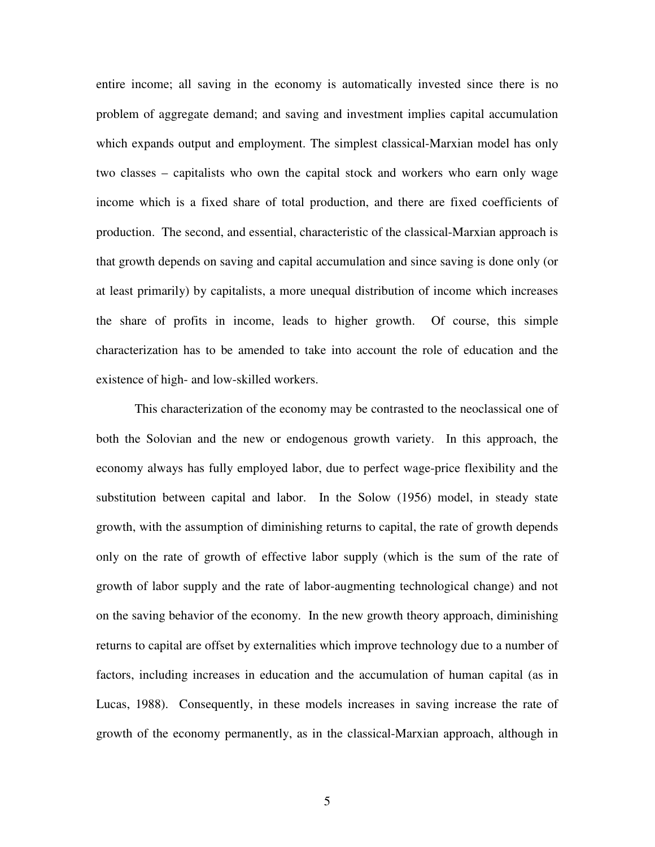entire income; all saving in the economy is automatically invested since there is no problem of aggregate demand; and saving and investment implies capital accumulation which expands output and employment. The simplest classical-Marxian model has only two classes – capitalists who own the capital stock and workers who earn only wage income which is a fixed share of total production, and there are fixed coefficients of production. The second, and essential, characteristic of the classical-Marxian approach is that growth depends on saving and capital accumulation and since saving is done only (or at least primarily) by capitalists, a more unequal distribution of income which increases the share of profits in income, leads to higher growth. Of course, this simple characterization has to be amended to take into account the role of education and the existence of high- and low-skilled workers.

 This characterization of the economy may be contrasted to the neoclassical one of both the Solovian and the new or endogenous growth variety. In this approach, the economy always has fully employed labor, due to perfect wage-price flexibility and the substitution between capital and labor. In the Solow (1956) model, in steady state growth, with the assumption of diminishing returns to capital, the rate of growth depends only on the rate of growth of effective labor supply (which is the sum of the rate of growth of labor supply and the rate of labor-augmenting technological change) and not on the saving behavior of the economy. In the new growth theory approach, diminishing returns to capital are offset by externalities which improve technology due to a number of factors, including increases in education and the accumulation of human capital (as in Lucas, 1988). Consequently, in these models increases in saving increase the rate of growth of the economy permanently, as in the classical-Marxian approach, although in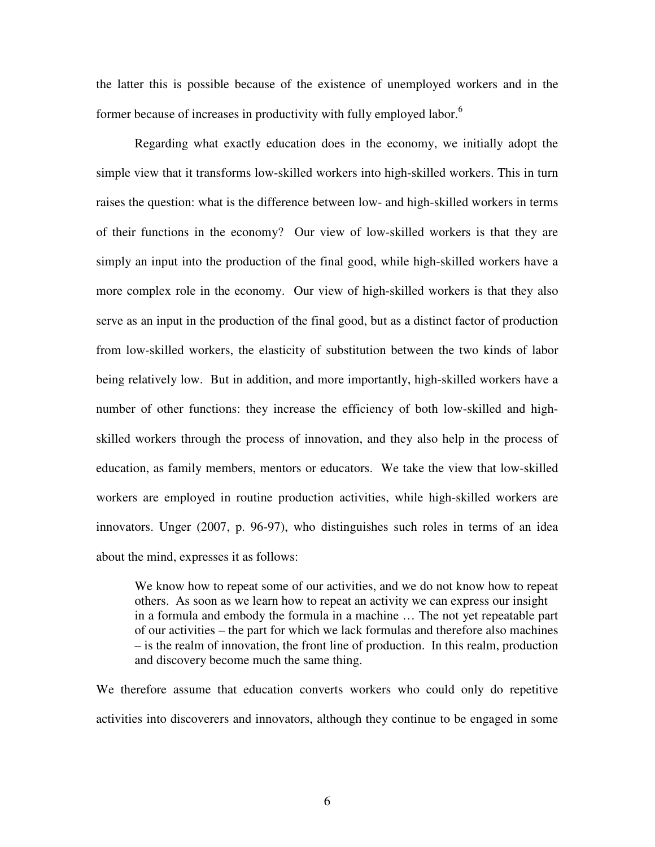the latter this is possible because of the existence of unemployed workers and in the former because of increases in productivity with fully employed labor.<sup>6</sup>

 Regarding what exactly education does in the economy, we initially adopt the simple view that it transforms low-skilled workers into high-skilled workers. This in turn raises the question: what is the difference between low- and high-skilled workers in terms of their functions in the economy? Our view of low-skilled workers is that they are simply an input into the production of the final good, while high-skilled workers have a more complex role in the economy. Our view of high-skilled workers is that they also serve as an input in the production of the final good, but as a distinct factor of production from low-skilled workers, the elasticity of substitution between the two kinds of labor being relatively low. But in addition, and more importantly, high-skilled workers have a number of other functions: they increase the efficiency of both low-skilled and highskilled workers through the process of innovation, and they also help in the process of education, as family members, mentors or educators. We take the view that low-skilled workers are employed in routine production activities, while high-skilled workers are innovators. Unger (2007, p. 96-97), who distinguishes such roles in terms of an idea about the mind, expresses it as follows:

 We know how to repeat some of our activities, and we do not know how to repeat others. As soon as we learn how to repeat an activity we can express our insight in a formula and embody the formula in a machine … The not yet repeatable part of our activities – the part for which we lack formulas and therefore also machines – is the realm of innovation, the front line of production. In this realm, production and discovery become much the same thing.

We therefore assume that education converts workers who could only do repetitive activities into discoverers and innovators, although they continue to be engaged in some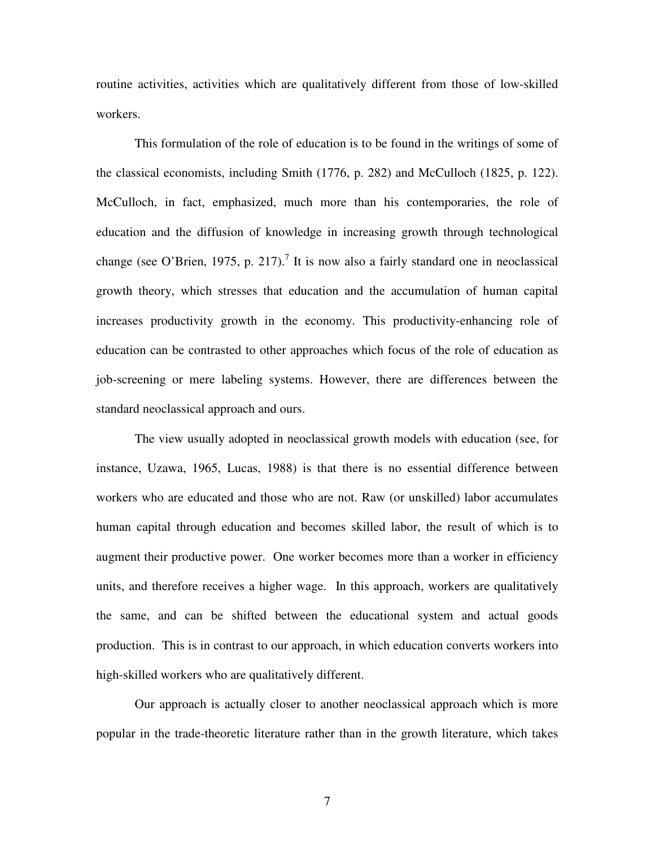routine activities, activities which are qualitatively different from those of low-skilled workers.

 This formulation of the role of education is to be found in the writings of some of the classical economists, including Smith (1776, p. 282) and McCulloch (1825, p. 122). McCulloch, in fact, emphasized, much more than his contemporaries, the role of education and the diffusion of knowledge in increasing growth through technological change (see O'Brien, 1975, p. 217).<sup>7</sup> It is now also a fairly standard one in neoclassical growth theory, which stresses that education and the accumulation of human capital increases productivity growth in the economy. This productivity-enhancing role of education can be contrasted to other approaches which focus of the role of education as job-screening or mere labeling systems. However, there are differences between the standard neoclassical approach and ours.

The view usually adopted in neoclassical growth models with education (see, for instance, Uzawa, 1965, Lucas, 1988) is that there is no essential difference between workers who are educated and those who are not. Raw (or unskilled) labor accumulates human capital through education and becomes skilled labor, the result of which is to augment their productive power. One worker becomes more than a worker in efficiency units, and therefore receives a higher wage. In this approach, workers are qualitatively the same, and can be shifted between the educational system and actual goods production. This is in contrast to our approach, in which education converts workers into high-skilled workers who are qualitatively different.

Our approach is actually closer to another neoclassical approach which is more popular in the trade-theoretic literature rather than in the growth literature, which takes

7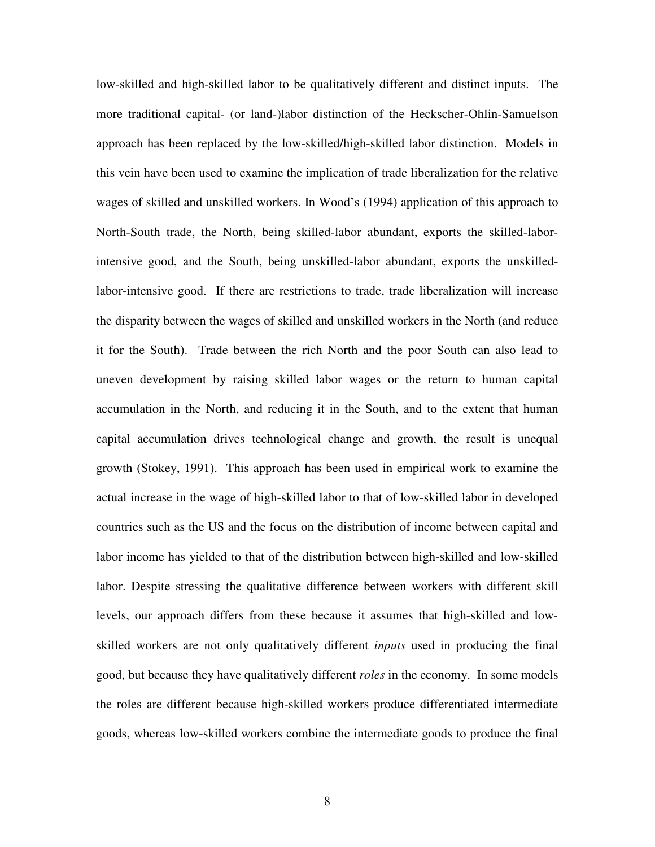low-skilled and high-skilled labor to be qualitatively different and distinct inputs. The more traditional capital- (or land-)labor distinction of the Heckscher-Ohlin-Samuelson approach has been replaced by the low-skilled/high-skilled labor distinction. Models in this vein have been used to examine the implication of trade liberalization for the relative wages of skilled and unskilled workers. In Wood's (1994) application of this approach to North-South trade, the North, being skilled-labor abundant, exports the skilled-laborintensive good, and the South, being unskilled-labor abundant, exports the unskilledlabor-intensive good. If there are restrictions to trade, trade liberalization will increase the disparity between the wages of skilled and unskilled workers in the North (and reduce it for the South). Trade between the rich North and the poor South can also lead to uneven development by raising skilled labor wages or the return to human capital accumulation in the North, and reducing it in the South, and to the extent that human capital accumulation drives technological change and growth, the result is unequal growth (Stokey, 1991). This approach has been used in empirical work to examine the actual increase in the wage of high-skilled labor to that of low-skilled labor in developed countries such as the US and the focus on the distribution of income between capital and labor income has yielded to that of the distribution between high-skilled and low-skilled labor. Despite stressing the qualitative difference between workers with different skill levels, our approach differs from these because it assumes that high-skilled and lowskilled workers are not only qualitatively different *inputs* used in producing the final good, but because they have qualitatively different *roles* in the economy. In some models the roles are different because high-skilled workers produce differentiated intermediate goods, whereas low-skilled workers combine the intermediate goods to produce the final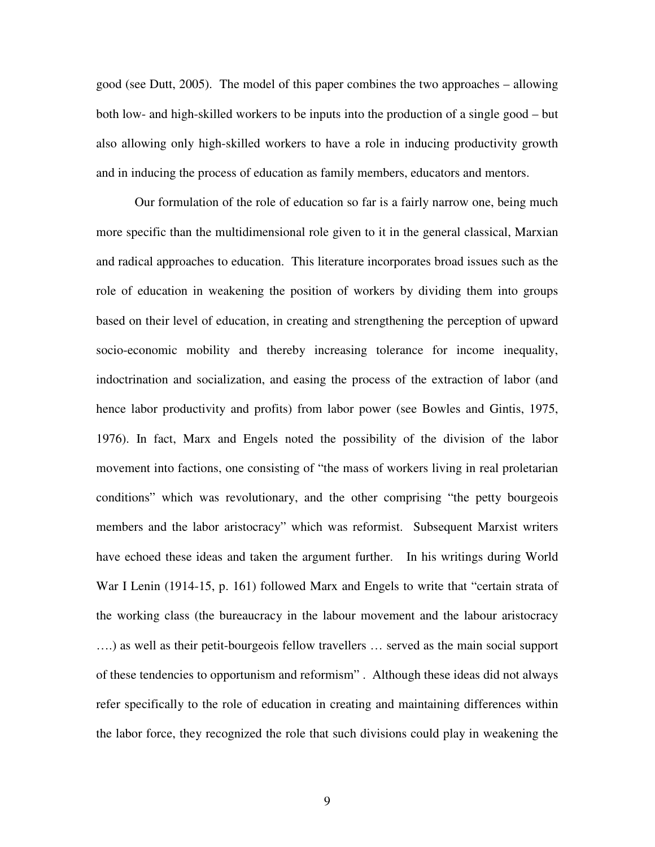good (see Dutt, 2005). The model of this paper combines the two approaches – allowing both low- and high-skilled workers to be inputs into the production of a single good – but also allowing only high-skilled workers to have a role in inducing productivity growth and in inducing the process of education as family members, educators and mentors.

 Our formulation of the role of education so far is a fairly narrow one, being much more specific than the multidimensional role given to it in the general classical, Marxian and radical approaches to education. This literature incorporates broad issues such as the role of education in weakening the position of workers by dividing them into groups based on their level of education, in creating and strengthening the perception of upward socio-economic mobility and thereby increasing tolerance for income inequality, indoctrination and socialization, and easing the process of the extraction of labor (and hence labor productivity and profits) from labor power (see Bowles and Gintis, 1975, 1976). In fact, Marx and Engels noted the possibility of the division of the labor movement into factions, one consisting of "the mass of workers living in real proletarian conditions" which was revolutionary, and the other comprising "the petty bourgeois members and the labor aristocracy" which was reformist. Subsequent Marxist writers have echoed these ideas and taken the argument further. In his writings during World War I Lenin (1914-15, p. 161) followed Marx and Engels to write that "certain strata of the working class (the bureaucracy in the labour movement and the labour aristocracy ….) as well as their petit-bourgeois fellow travellers … served as the main social support of these tendencies to opportunism and reformism" . Although these ideas did not always refer specifically to the role of education in creating and maintaining differences within the labor force, they recognized the role that such divisions could play in weakening the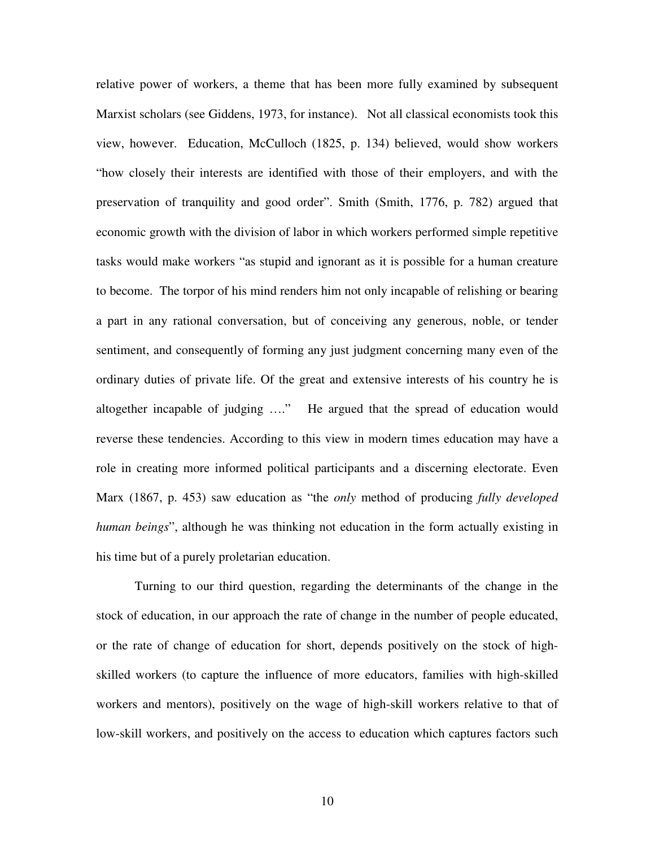relative power of workers, a theme that has been more fully examined by subsequent Marxist scholars (see Giddens, 1973, for instance). Not all classical economists took this view, however. Education, McCulloch (1825, p. 134) believed, would show workers "how closely their interests are identified with those of their employers, and with the preservation of tranquility and good order". Smith (Smith, 1776, p. 782) argued that economic growth with the division of labor in which workers performed simple repetitive tasks would make workers "as stupid and ignorant as it is possible for a human creature to become. The torpor of his mind renders him not only incapable of relishing or bearing a part in any rational conversation, but of conceiving any generous, noble, or tender sentiment, and consequently of forming any just judgment concerning many even of the ordinary duties of private life. Of the great and extensive interests of his country he is altogether incapable of judging …." He argued that the spread of education would reverse these tendencies. According to this view in modern times education may have a role in creating more informed political participants and a discerning electorate. Even Marx (1867, p. 453) saw education as "the *only* method of producing *fully developed human beings*", although he was thinking not education in the form actually existing in his time but of a purely proletarian education.

 Turning to our third question, regarding the determinants of the change in the stock of education, in our approach the rate of change in the number of people educated, or the rate of change of education for short, depends positively on the stock of highskilled workers (to capture the influence of more educators, families with high-skilled workers and mentors), positively on the wage of high-skill workers relative to that of low-skill workers, and positively on the access to education which captures factors such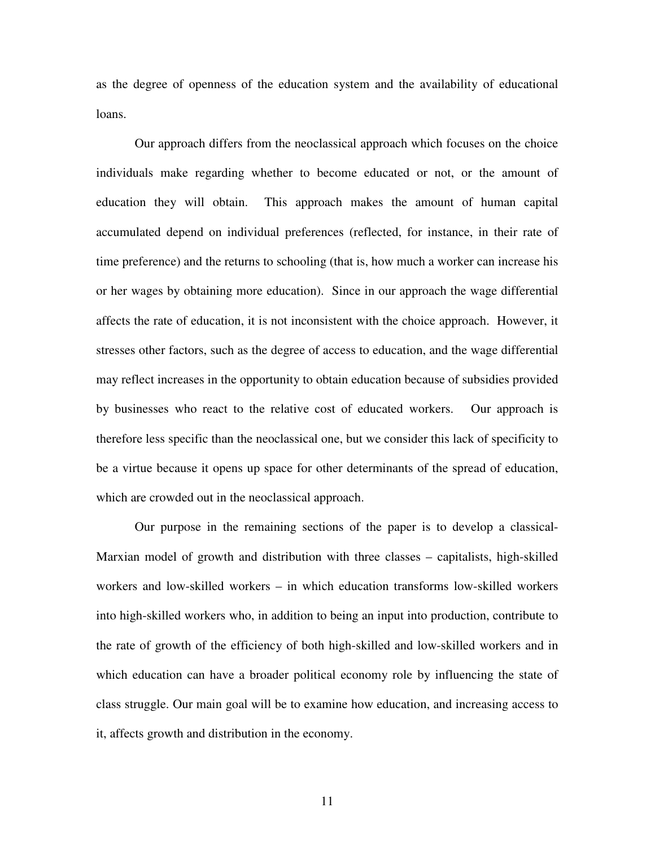as the degree of openness of the education system and the availability of educational loans.

 Our approach differs from the neoclassical approach which focuses on the choice individuals make regarding whether to become educated or not, or the amount of education they will obtain. This approach makes the amount of human capital accumulated depend on individual preferences (reflected, for instance, in their rate of time preference) and the returns to schooling (that is, how much a worker can increase his or her wages by obtaining more education). Since in our approach the wage differential affects the rate of education, it is not inconsistent with the choice approach. However, it stresses other factors, such as the degree of access to education, and the wage differential may reflect increases in the opportunity to obtain education because of subsidies provided by businesses who react to the relative cost of educated workers. Our approach is therefore less specific than the neoclassical one, but we consider this lack of specificity to be a virtue because it opens up space for other determinants of the spread of education, which are crowded out in the neoclassical approach.

 Our purpose in the remaining sections of the paper is to develop a classical-Marxian model of growth and distribution with three classes – capitalists, high-skilled workers and low-skilled workers – in which education transforms low-skilled workers into high-skilled workers who, in addition to being an input into production, contribute to the rate of growth of the efficiency of both high-skilled and low-skilled workers and in which education can have a broader political economy role by influencing the state of class struggle. Our main goal will be to examine how education, and increasing access to it, affects growth and distribution in the economy.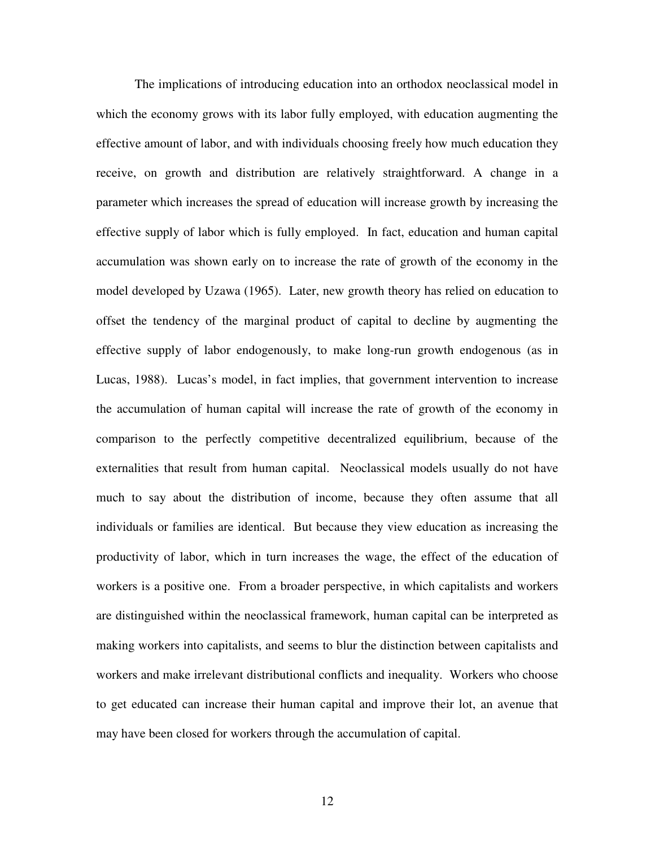The implications of introducing education into an orthodox neoclassical model in which the economy grows with its labor fully employed, with education augmenting the effective amount of labor, and with individuals choosing freely how much education they receive, on growth and distribution are relatively straightforward. A change in a parameter which increases the spread of education will increase growth by increasing the effective supply of labor which is fully employed. In fact, education and human capital accumulation was shown early on to increase the rate of growth of the economy in the model developed by Uzawa (1965). Later, new growth theory has relied on education to offset the tendency of the marginal product of capital to decline by augmenting the effective supply of labor endogenously, to make long-run growth endogenous (as in Lucas, 1988). Lucas's model, in fact implies, that government intervention to increase the accumulation of human capital will increase the rate of growth of the economy in comparison to the perfectly competitive decentralized equilibrium, because of the externalities that result from human capital. Neoclassical models usually do not have much to say about the distribution of income, because they often assume that all individuals or families are identical. But because they view education as increasing the productivity of labor, which in turn increases the wage, the effect of the education of workers is a positive one. From a broader perspective, in which capitalists and workers are distinguished within the neoclassical framework, human capital can be interpreted as making workers into capitalists, and seems to blur the distinction between capitalists and workers and make irrelevant distributional conflicts and inequality. Workers who choose to get educated can increase their human capital and improve their lot, an avenue that may have been closed for workers through the accumulation of capital.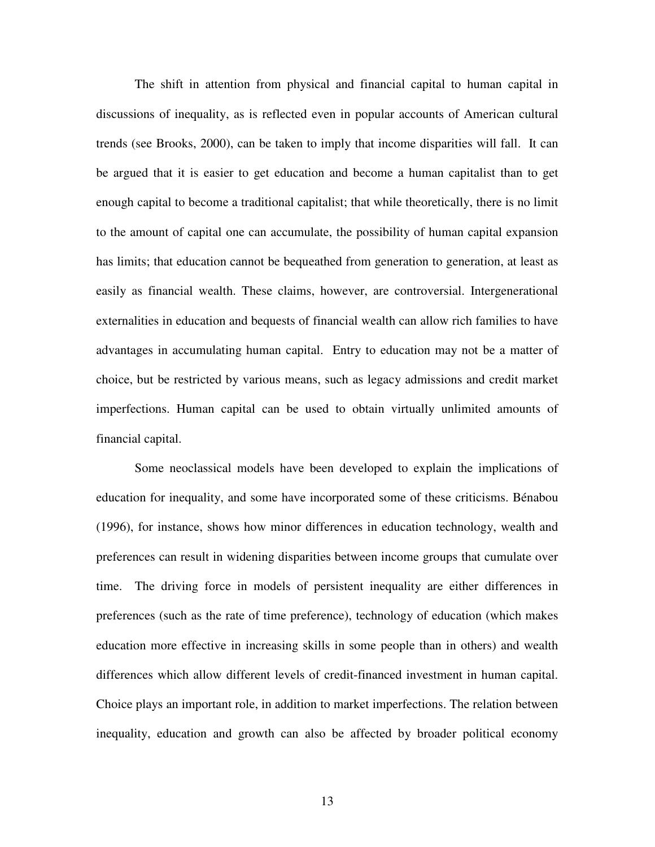The shift in attention from physical and financial capital to human capital in discussions of inequality, as is reflected even in popular accounts of American cultural trends (see Brooks, 2000), can be taken to imply that income disparities will fall. It can be argued that it is easier to get education and become a human capitalist than to get enough capital to become a traditional capitalist; that while theoretically, there is no limit to the amount of capital one can accumulate, the possibility of human capital expansion has limits; that education cannot be bequeathed from generation to generation, at least as easily as financial wealth. These claims, however, are controversial. Intergenerational externalities in education and bequests of financial wealth can allow rich families to have advantages in accumulating human capital. Entry to education may not be a matter of choice, but be restricted by various means, such as legacy admissions and credit market imperfections. Human capital can be used to obtain virtually unlimited amounts of financial capital.

Some neoclassical models have been developed to explain the implications of education for inequality, and some have incorporated some of these criticisms. Bénabou (1996), for instance, shows how minor differences in education technology, wealth and preferences can result in widening disparities between income groups that cumulate over time. The driving force in models of persistent inequality are either differences in preferences (such as the rate of time preference), technology of education (which makes education more effective in increasing skills in some people than in others) and wealth differences which allow different levels of credit-financed investment in human capital. Choice plays an important role, in addition to market imperfections. The relation between inequality, education and growth can also be affected by broader political economy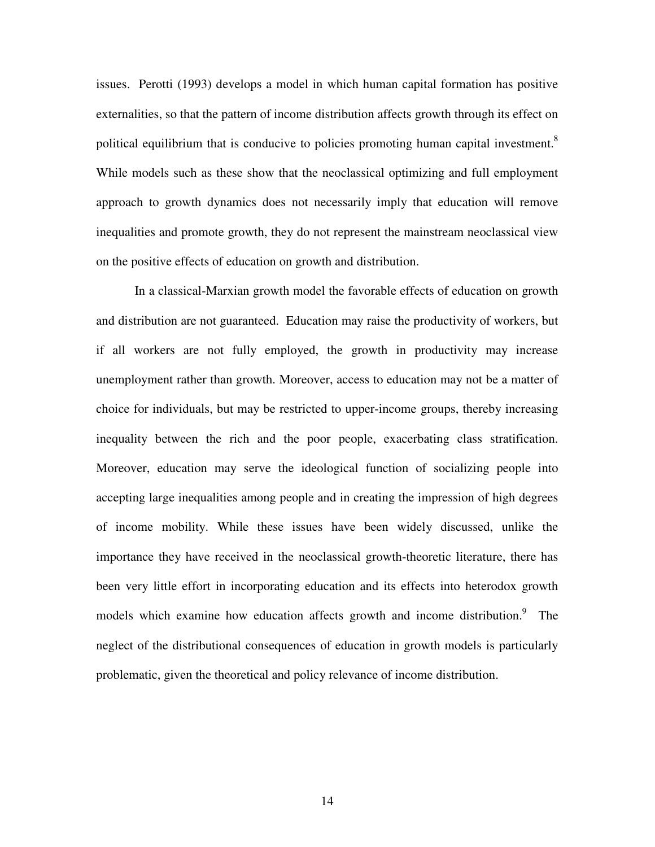issues. Perotti (1993) develops a model in which human capital formation has positive externalities, so that the pattern of income distribution affects growth through its effect on political equilibrium that is conducive to policies promoting human capital investment.<sup>8</sup> While models such as these show that the neoclassical optimizing and full employment approach to growth dynamics does not necessarily imply that education will remove inequalities and promote growth, they do not represent the mainstream neoclassical view on the positive effects of education on growth and distribution.

 In a classical-Marxian growth model the favorable effects of education on growth and distribution are not guaranteed. Education may raise the productivity of workers, but if all workers are not fully employed, the growth in productivity may increase unemployment rather than growth. Moreover, access to education may not be a matter of choice for individuals, but may be restricted to upper-income groups, thereby increasing inequality between the rich and the poor people, exacerbating class stratification. Moreover, education may serve the ideological function of socializing people into accepting large inequalities among people and in creating the impression of high degrees of income mobility. While these issues have been widely discussed, unlike the importance they have received in the neoclassical growth-theoretic literature, there has been very little effort in incorporating education and its effects into heterodox growth models which examine how education affects growth and income distribution.<sup>9</sup> The neglect of the distributional consequences of education in growth models is particularly problematic, given the theoretical and policy relevance of income distribution.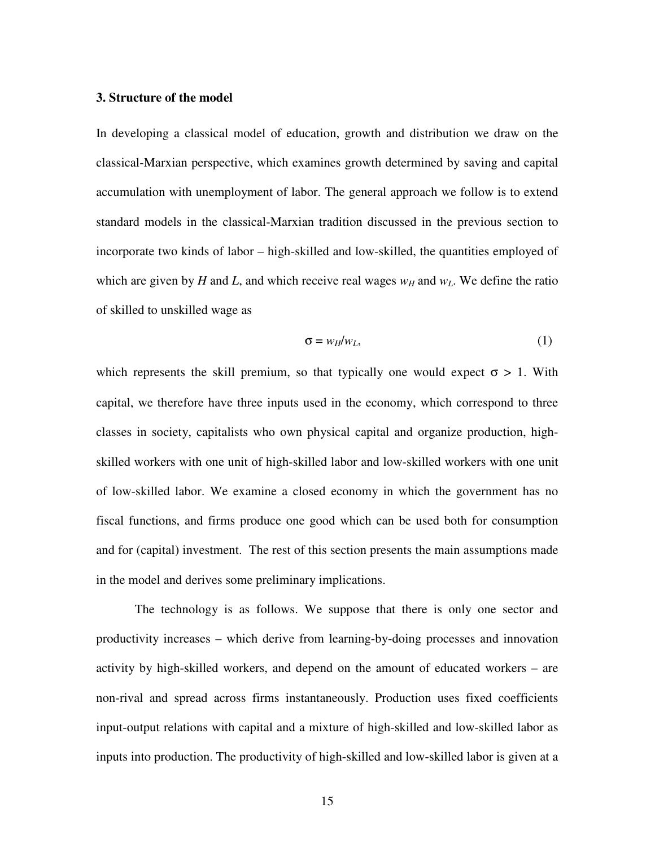#### **3. Structure of the model**

In developing a classical model of education, growth and distribution we draw on the classical-Marxian perspective, which examines growth determined by saving and capital accumulation with unemployment of labor. The general approach we follow is to extend standard models in the classical-Marxian tradition discussed in the previous section to incorporate two kinds of labor – high-skilled and low-skilled, the quantities employed of which are given by *H* and *L*, and which receive real wages  $w_H$  and  $w_L$ . We define the ratio of skilled to unskilled wage as

$$
\sigma = w_H / w_L,\tag{1}
$$

which represents the skill premium, so that typically one would expect  $\sigma > 1$ . With capital, we therefore have three inputs used in the economy, which correspond to three classes in society, capitalists who own physical capital and organize production, highskilled workers with one unit of high-skilled labor and low-skilled workers with one unit of low-skilled labor. We examine a closed economy in which the government has no fiscal functions, and firms produce one good which can be used both for consumption and for (capital) investment. The rest of this section presents the main assumptions made in the model and derives some preliminary implications.

The technology is as follows. We suppose that there is only one sector and productivity increases – which derive from learning-by-doing processes and innovation activity by high-skilled workers, and depend on the amount of educated workers – are non-rival and spread across firms instantaneously. Production uses fixed coefficients input-output relations with capital and a mixture of high-skilled and low-skilled labor as inputs into production. The productivity of high-skilled and low-skilled labor is given at a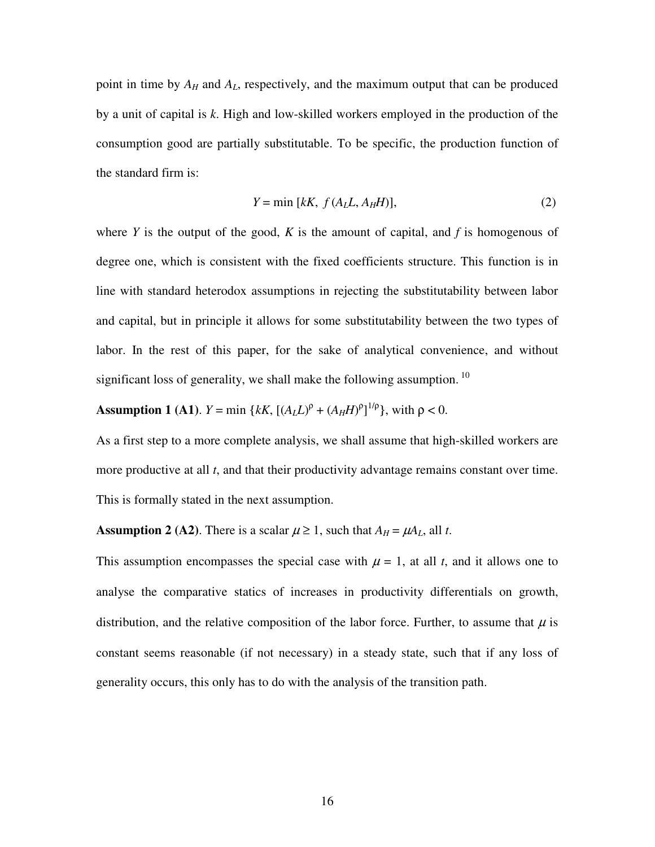point in time by *AH* and *AL*, respectively, and the maximum output that can be produced by a unit of capital is *k*. High and low-skilled workers employed in the production of the consumption good are partially substitutable. To be specific, the production function of the standard firm is:

$$
Y = \min [kK, f(AL, AHH)], \qquad (2)
$$

where  $Y$  is the output of the good,  $K$  is the amount of capital, and  $f$  is homogenous of degree one, which is consistent with the fixed coefficients structure. This function is in line with standard heterodox assumptions in rejecting the substitutability between labor and capital, but in principle it allows for some substitutability between the two types of labor. In the rest of this paper, for the sake of analytical convenience, and without significant loss of generality, we shall make the following assumption.<sup>10</sup>

**Assumption 1 (A1)**. *Y* = min { $kK$ ,  $[(A_L L)^{\rho} + (A_H H)^{\rho}]^{1/\rho}$ }, with  $\rho < 0$ .

As a first step to a more complete analysis, we shall assume that high-skilled workers are more productive at all *t*, and that their productivity advantage remains constant over time. This is formally stated in the next assumption.

**Assumption 2 (A2)**. There is a scalar  $\mu \ge 1$ , such that  $A_H = \mu A_L$ , all *t*.

This assumption encompasses the special case with  $\mu = 1$ , at all *t*, and it allows one to analyse the comparative statics of increases in productivity differentials on growth, distribution, and the relative composition of the labor force. Further, to assume that  $\mu$  is constant seems reasonable (if not necessary) in a steady state, such that if any loss of generality occurs, this only has to do with the analysis of the transition path.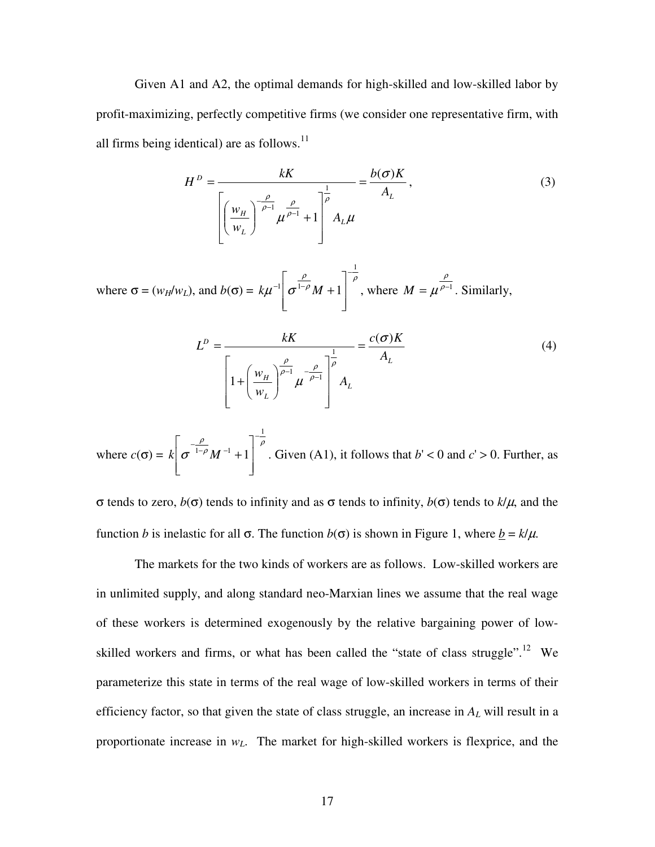Given A1 and A2, the optimal demands for high-skilled and low-skilled labor by profit-maximizing, perfectly competitive firms (we consider one representative firm, with all firms being identical) are as follows. $^{11}$ 

$$
H^{D} = \frac{kK}{\left[\left(\frac{W_{H}}{W_{L}}\right)^{-\frac{\rho}{\rho-1}}\mu^{\frac{\rho}{\rho-1}}+1\right]^{\frac{1}{\rho}}} = \frac{b(\sigma)K}{A_{L}},
$$
\n(3)

where  $\sigma = (w_H/w_L)$ , and  $b(\sigma) = k\mu^{-1} \left[ \frac{P}{\sigma^{1-\rho}} M + 1 \right]$ ρ  $\mu$   $\mid$   $\sigma$ 1  $\int_0^1 |\sigma^{1-\rho} M + 1|$ −  $-1$   $\rightarrow$   $1 \overline{\phantom{a}}$  $\overline{\phantom{a}}$  $\rfloor$ ן  $\mathbf{r}$  $\mathbf{r}$ L  $\lceil$  $k\mu^{-1}$   $\sigma^{1-\rho}M+1$ , where  $M = \mu^{\rho-1}$ ρ  $M = \mu^{\rho-1}$ . Similarly,

$$
L^{D} = \frac{kK}{\left[1 + \left(\frac{w_{H}}{w_{L}}\right)^{\frac{\rho}{\rho-1}} \mu^{-\frac{\rho}{\rho-1}}\right]^{\frac{1}{\rho}}} = \frac{c(\sigma)K}{A_{L}}
$$
(4)

where 
$$
c(\sigma) = k \left[ \sigma \frac{\rho}{1-\rho} M^{-1} + 1 \right]^{-\frac{1}{\rho}}
$$
. Given (A1), it follows that  $b' < 0$  and  $c' > 0$ . Further, as

σ tends to zero, *b*(σ) tends to infinity and as σ tends to infinity, *b*(σ) tends to *k*/µ, and the function *b* is inelastic for all σ. The function *b*(σ) is shown in Figure 1, where  $\underline{b} = k/\mu$ .

 The markets for the two kinds of workers are as follows. Low-skilled workers are in unlimited supply, and along standard neo-Marxian lines we assume that the real wage of these workers is determined exogenously by the relative bargaining power of lowskilled workers and firms, or what has been called the "state of class struggle".<sup>12</sup> We parameterize this state in terms of the real wage of low-skilled workers in terms of their efficiency factor, so that given the state of class struggle, an increase in *A<sup>L</sup>* will result in a proportionate increase in *wL*. The market for high-skilled workers is flexprice, and the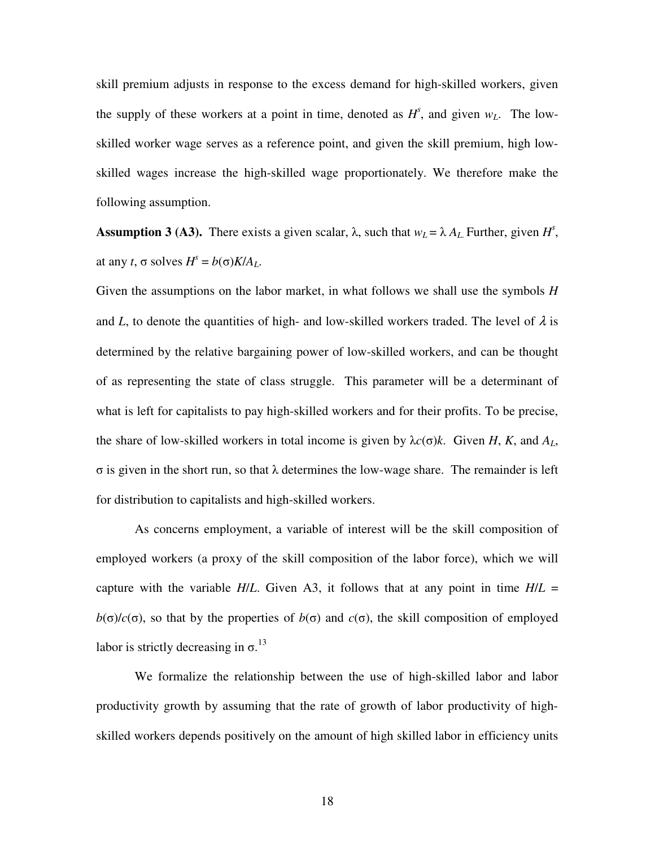skill premium adjusts in response to the excess demand for high-skilled workers, given the supply of these workers at a point in time, denoted as  $H^s$ , and given  $w_L$ . The lowskilled worker wage serves as a reference point, and given the skill premium, high lowskilled wages increase the high-skilled wage proportionately. We therefore make the following assumption.

**Assumption 3 (A3).** There exists a given scalar,  $\lambda$ , such that  $w_L = \lambda A_L$ . Further, given  $H^s$ , at any *t*,  $\sigma$  solves  $H^s = b(\sigma)K/A_L$ .

Given the assumptions on the labor market, in what follows we shall use the symbols *H* and *L*, to denote the quantities of high- and low-skilled workers traded. The level of  $\lambda$  is determined by the relative bargaining power of low-skilled workers, and can be thought of as representing the state of class struggle. This parameter will be a determinant of what is left for capitalists to pay high-skilled workers and for their profits. To be precise, the share of low-skilled workers in total income is given by  $\lambda c(\sigma)k$ . Given *H*, *K*, and  $A_L$ , σ is given in the short run, so that λ determines the low-wage share. The remainder is left for distribution to capitalists and high-skilled workers.

 As concerns employment, a variable of interest will be the skill composition of employed workers (a proxy of the skill composition of the labor force), which we will capture with the variable  $H/L$ . Given A3, it follows that at any point in time  $H/L =$ *b*( $\sigma$ )/*c*( $\sigma$ ), so that by the properties of *b*( $\sigma$ ) and *c*( $\sigma$ ), the skill composition of employed labor is strictly decreasing in  $\sigma$ .<sup>13</sup>

 We formalize the relationship between the use of high-skilled labor and labor productivity growth by assuming that the rate of growth of labor productivity of highskilled workers depends positively on the amount of high skilled labor in efficiency units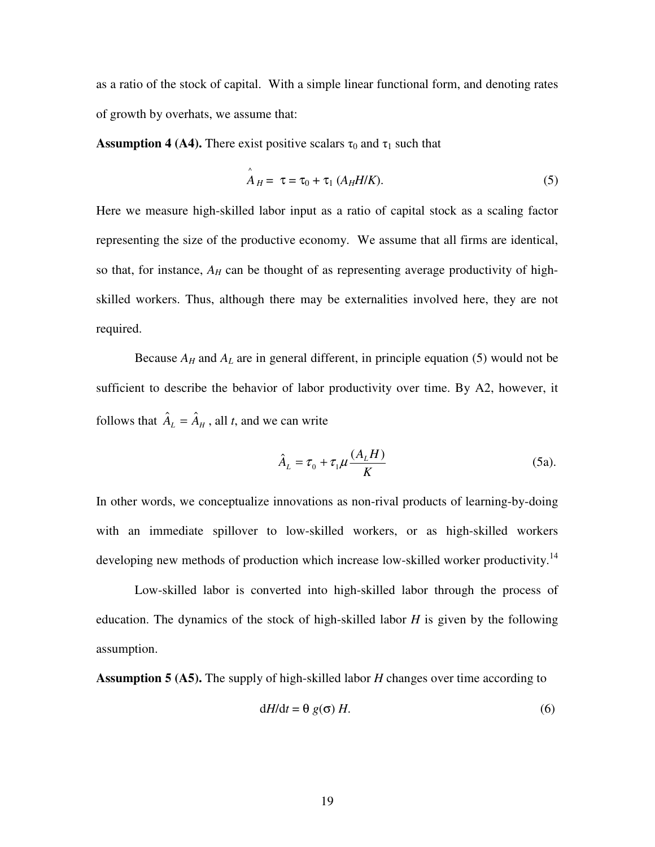as a ratio of the stock of capital. With a simple linear functional form, and denoting rates of growth by overhats, we assume that:

**Assumption 4 (A4).** There exist positive scalars  $\tau_0$  and  $\tau_1$  such that

$$
\mathbf{A}_H = \tau = \tau_0 + \tau_1 \left( A_H H / K \right). \tag{5}
$$

Here we measure high-skilled labor input as a ratio of capital stock as a scaling factor representing the size of the productive economy. We assume that all firms are identical, so that, for instance,  $A_H$  can be thought of as representing average productivity of highskilled workers. Thus, although there may be externalities involved here, they are not required.

Because  $A_H$  and  $A_L$  are in general different, in principle equation (5) would not be sufficient to describe the behavior of labor productivity over time. By A2, however, it follows that  $\hat{A}_L = \hat{A}_H$ , all *t*, and we can write

$$
\hat{A}_L = \tau_0 + \tau_1 \mu \frac{(A_L H)}{K} \tag{5a}
$$

In other words, we conceptualize innovations as non-rival products of learning-by-doing with an immediate spillover to low-skilled workers, or as high-skilled workers developing new methods of production which increase low-skilled worker productivity.<sup>14</sup>

 Low-skilled labor is converted into high-skilled labor through the process of education. The dynamics of the stock of high-skilled labor *H* is given by the following assumption.

**Assumption 5 (A5).** The supply of high-skilled labor *H* changes over time according to

$$
dH/dt = \theta g(\sigma) H.
$$
 (6)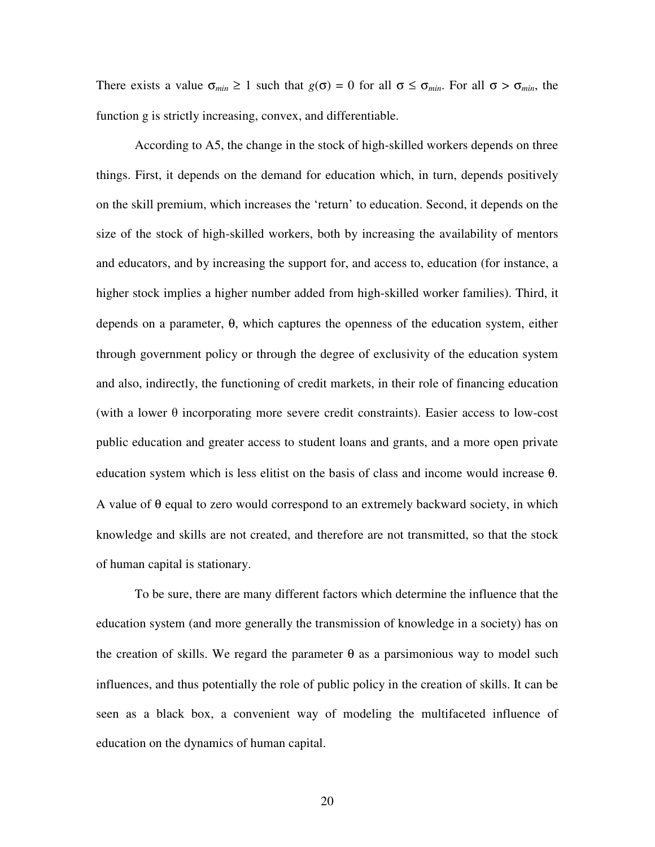There exists a value  $\sigma_{min} \ge 1$  such that  $g(\sigma) = 0$  for all  $\sigma \le \sigma_{min}$ . For all  $\sigma > \sigma_{min}$ , the function g is strictly increasing, convex, and differentiable.

According to A5, the change in the stock of high-skilled workers depends on three things. First, it depends on the demand for education which, in turn, depends positively on the skill premium, which increases the 'return' to education. Second, it depends on the size of the stock of high-skilled workers, both by increasing the availability of mentors and educators, and by increasing the support for, and access to, education (for instance, a higher stock implies a higher number added from high-skilled worker families). Third, it depends on a parameter, θ, which captures the openness of the education system, either through government policy or through the degree of exclusivity of the education system and also, indirectly, the functioning of credit markets, in their role of financing education (with a lower  $\theta$  incorporating more severe credit constraints). Easier access to low-cost public education and greater access to student loans and grants, and a more open private education system which is less elitist on the basis of class and income would increase θ. A value of  $\theta$  equal to zero would correspond to an extremely backward society, in which knowledge and skills are not created, and therefore are not transmitted, so that the stock of human capital is stationary.

To be sure, there are many different factors which determine the influence that the education system (and more generally the transmission of knowledge in a society) has on the creation of skills. We regard the parameter  $\theta$  as a parsimonious way to model such influences, and thus potentially the role of public policy in the creation of skills. It can be seen as a black box, a convenient way of modeling the multifaceted influence of education on the dynamics of human capital.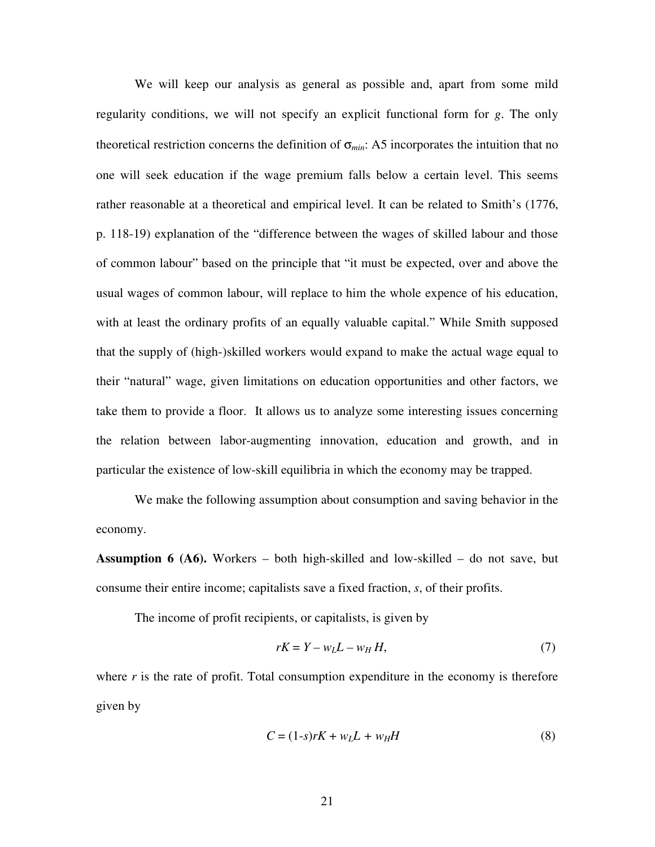We will keep our analysis as general as possible and, apart from some mild regularity conditions, we will not specify an explicit functional form for *g*. The only theoretical restriction concerns the definition of σ*min*: A5 incorporates the intuition that no one will seek education if the wage premium falls below a certain level. This seems rather reasonable at a theoretical and empirical level. It can be related to Smith's (1776, p. 118-19) explanation of the "difference between the wages of skilled labour and those of common labour" based on the principle that "it must be expected, over and above the usual wages of common labour, will replace to him the whole expence of his education, with at least the ordinary profits of an equally valuable capital." While Smith supposed that the supply of (high-)skilled workers would expand to make the actual wage equal to their "natural" wage, given limitations on education opportunities and other factors, we take them to provide a floor. It allows us to analyze some interesting issues concerning the relation between labor-augmenting innovation, education and growth, and in particular the existence of low-skill equilibria in which the economy may be trapped.

 We make the following assumption about consumption and saving behavior in the economy.

**Assumption 6 (A6).** Workers – both high-skilled and low-skilled – do not save, but consume their entire income; capitalists save a fixed fraction, *s*, of their profits.

The income of profit recipients, or capitalists, is given by

$$
rK = Y - w_L L - w_H H,\tag{7}
$$

where  $r$  is the rate of profit. Total consumption expenditure in the economy is therefore given by

$$
C = (1-s)rK + wLL + wHH
$$
\n(8)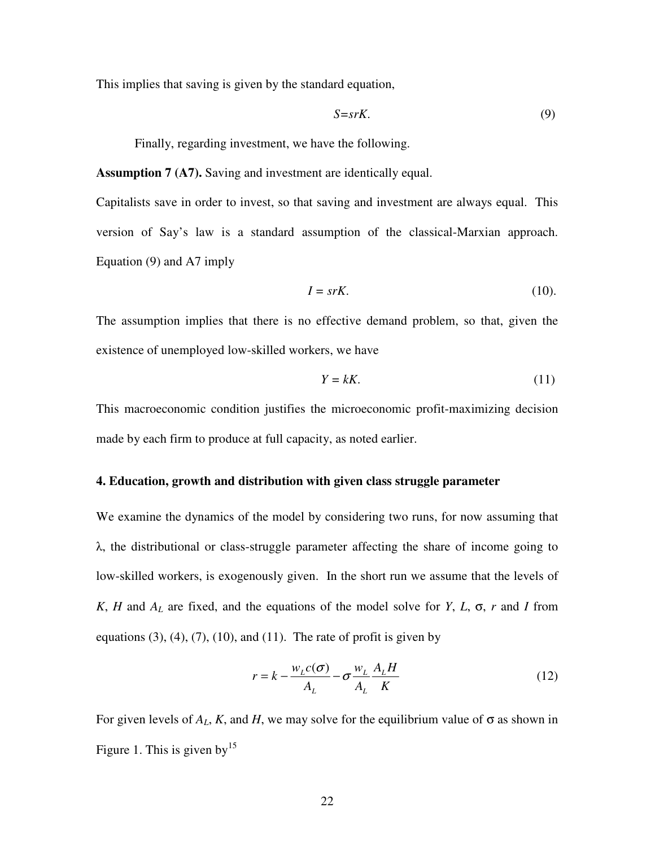This implies that saving is given by the standard equation,

$$
S = srK.\t\t(9)
$$

Finally, regarding investment, we have the following.

**Assumption 7 (A7).** Saving and investment are identically equal.

Capitalists save in order to invest, so that saving and investment are always equal. This version of Say's law is a standard assumption of the classical-Marxian approach. Equation (9) and A7 imply

$$
I = s r K. \tag{10}
$$

The assumption implies that there is no effective demand problem, so that, given the existence of unemployed low-skilled workers, we have

$$
Y = kK.\tag{11}
$$

This macroeconomic condition justifies the microeconomic profit-maximizing decision made by each firm to produce at full capacity, as noted earlier.

#### **4. Education, growth and distribution with given class struggle parameter**

We examine the dynamics of the model by considering two runs, for now assuming that λ, the distributional or class-struggle parameter affecting the share of income going to low-skilled workers, is exogenously given. In the short run we assume that the levels of *K*, *H* and *AL* are fixed, and the equations of the model solve for *Y*, *L*, σ, *r* and *I* from equations  $(3)$ ,  $(4)$ ,  $(7)$ ,  $(10)$ , and  $(11)$ . The rate of profit is given by

$$
r = k - \frac{w_L c(\sigma)}{A_L} - \sigma \frac{w_L}{A_L} \frac{A_L H}{K}
$$
 (12)

For given levels of  $A_L$ , K, and H, we may solve for the equilibrium value of  $\sigma$  as shown in Figure 1. This is given by  $15$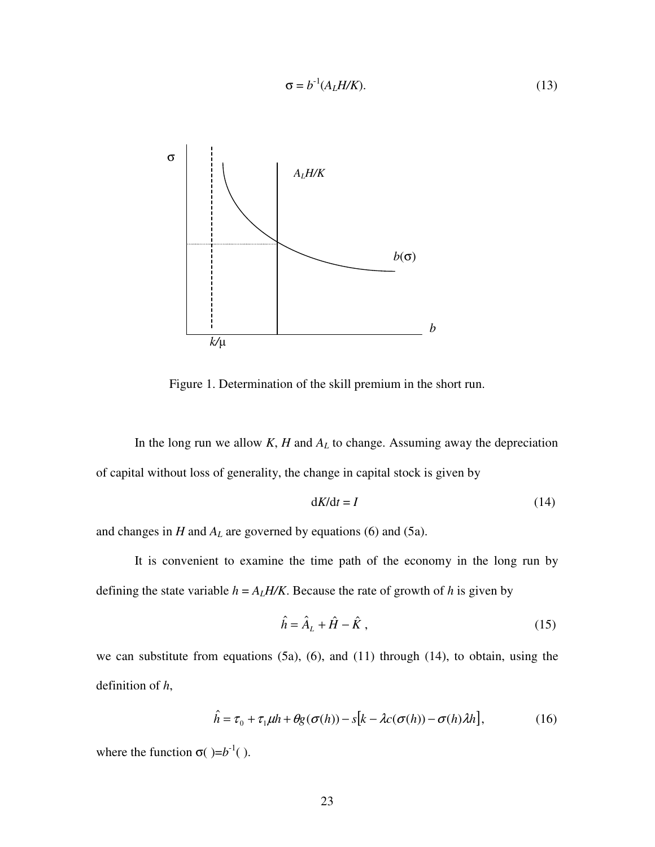

Figure 1. Determination of the skill premium in the short run.

 $\sigma = b^{-1}(A_L H/K).$  (13)

In the long run we allow *K*, *H* and *AL* to change. Assuming away the depreciation of capital without loss of generality, the change in capital stock is given by

$$
dK/dt = I \tag{14}
$$

and changes in *H* and *AL* are governed by equations (6) and (5a).

 It is convenient to examine the time path of the economy in the long run by defining the state variable  $h = A_L H/K$ . Because the rate of growth of h is given by

$$
\hat{h} = \hat{A}_L + \hat{H} - \hat{K},\qquad(15)
$$

we can substitute from equations (5a), (6), and (11) through (14), to obtain, using the definition of *h*,

$$
\hat{h} = \tau_0 + \tau_1 \mu h + \theta g(\sigma(h)) - s[k - \lambda c(\sigma(h)) - \sigma(h)\lambda h], \qquad (16)
$$

where the function  $\sigma$ ( $= b^{-1}$ ().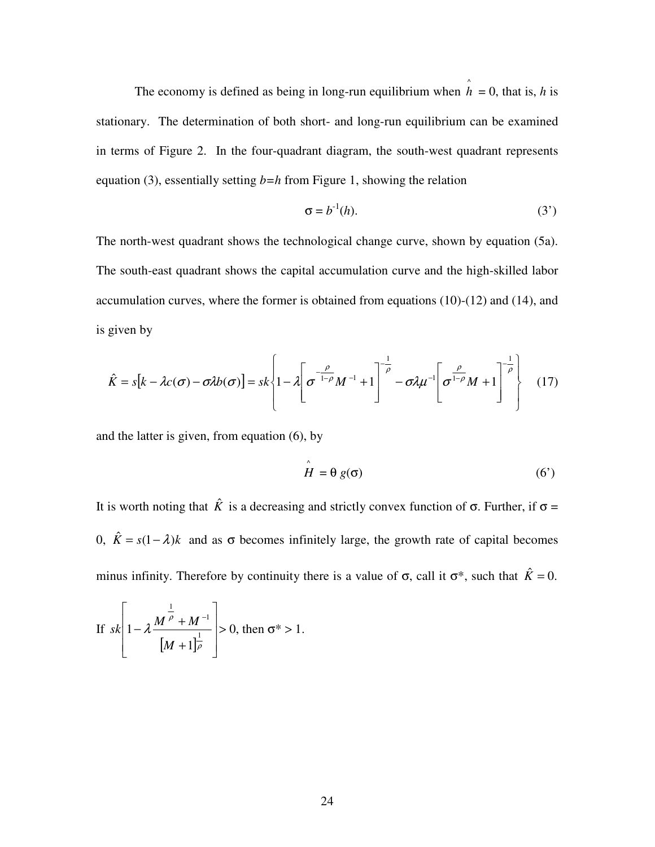The economy is defined as being in long-run equilibrium when  $\hat{h} = 0$ , that is, *h* is stationary. The determination of both short- and long-run equilibrium can be examined in terms of Figure 2. In the four-quadrant diagram, the south-west quadrant represents equation (3), essentially setting *b=h* from Figure 1, showing the relation

$$
\sigma = b^{-1}(h). \tag{3'}
$$

The north-west quadrant shows the technological change curve, shown by equation (5a). The south-east quadrant shows the capital accumulation curve and the high-skilled labor accumulation curves, where the former is obtained from equations (10)-(12) and (14), and is given by

$$
\hat{K} = s[k - \lambda c(\sigma) - \sigma \lambda b(\sigma)] = sk \left\{ 1 - \lambda \left[ \sigma^{-\frac{\rho}{1-\rho}} M^{-1} + 1 \right]^{-\frac{1}{\rho}} - \sigma \lambda \mu^{-1} \left[ \sigma^{\frac{\rho}{1-\rho}} M + 1 \right]^{-\frac{1}{\rho}} \right\} \quad (17)
$$

and the latter is given, from equation (6), by

$$
\hat{H} = \theta g(\sigma) \tag{6'}
$$

It is worth noting that  $\hat{K}$  is a decreasing and strictly convex function of  $\sigma$ . Further, if  $\sigma$  = 0,  $\hat{K} = s(1 - \lambda)k$  and as  $\sigma$  becomes infinitely large, the growth rate of capital becomes minus infinity. Therefore by continuity there is a value of  $\sigma$ , call it  $\sigma^*$ , such that  $\hat{K} = 0$ .

If 
$$
sk\left[1 - \lambda \frac{M^{\frac{1}{\rho}} + M^{-1}}{[M+1]^{\frac{1}{\rho}}}\right] > 0
$$
, then  $\sigma^* > 1$ .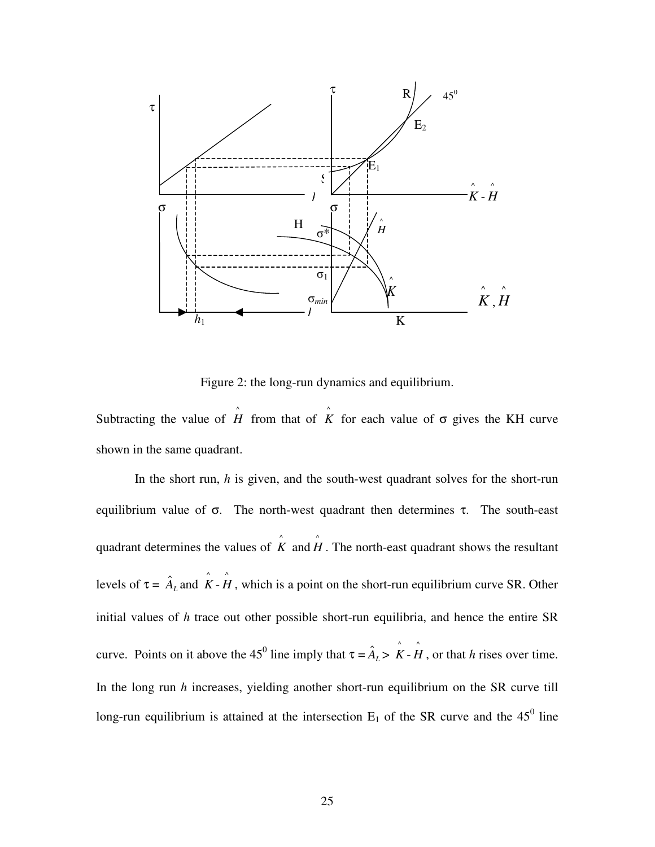

Figure 2: the long-run dynamics and equilibrium.

Subtracting the value of  $\hat{H}$  from that of  $\hat{K}$  for each value of  $\sigma$  gives the KH curve shown in the same quadrant.

 In the short run, *h* is given, and the south-west quadrant solves for the short-run equilibrium value of  $\sigma$ . The north-west quadrant then determines  $\tau$ . The south-east quadrant determines the values of  $\hat{K}$  and  $\hat{H}$ . The north-east quadrant shows the resultant levels of  $\tau = \hat{A}_L$  and  $\hat{K} - \hat{H}$ , which is a point on the short-run equilibrium curve SR. Other initial values of *h* trace out other possible short-run equilibria, and hence the entire SR curve. Points on it above the 45<sup>0</sup> line imply that  $\tau = \hat{A}_L > \hat{K} - \hat{H}$ , or that *h* rises over time. In the long run *h* increases, yielding another short-run equilibrium on the SR curve till long-run equilibrium is attained at the intersection  $E_1$  of the SR curve and the 45<sup>0</sup> line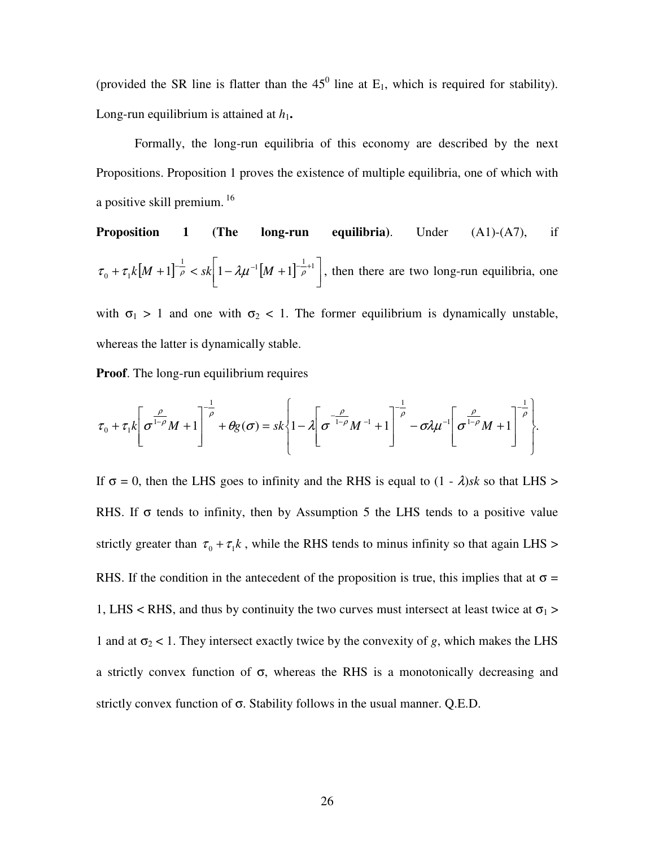(provided the SR line is flatter than the  $45^{\circ}$  line at E<sub>1</sub>, which is required for stability). Long-run equilibrium is attained at  $h_1$ .

Formally, the long-run equilibria of this economy are described by the next Propositions. Proposition 1 proves the existence of multiple equilibria, one of which with a positive skill premium.<sup>16</sup>

**Proposition 1 (The long-run equilibria).** Under (A1)-(A7), if 
$$
\tau_0 + \tau_1 k[M+1]^{\frac{1}{\rho}} < sk \left[1 - \lambda \mu^{-1}[M+1]^{\frac{1}{\rho}+1}\right]
$$
, then there are two long-run equilibria, one

with  $\sigma_1 > 1$  and one with  $\sigma_2 < 1$ . The former equilibrium is dynamically unstable, whereas the latter is dynamically stable.

**Proof.** The long-run equilibrium requires

$$
\tau_0 + \tau_1 k \left[ \sigma^{\frac{\rho}{1-\rho}} M + 1 \right]^{\frac{1}{\rho}} + \theta g(\sigma) = s k \left\{ 1 - \lambda \left[ \sigma^{\frac{\rho}{1-\rho}} M^{-1} + 1 \right]^{\frac{1}{\rho}} - \sigma \lambda \mu^{-1} \left[ \sigma^{\frac{\rho}{1-\rho}} M + 1 \right]^{\frac{1}{\rho}} \right\}.
$$

If  $\sigma = 0$ , then the LHS goes to infinity and the RHS is equal to  $(1 - \lambda)$ *sk* so that LHS > RHS. If  $\sigma$  tends to infinity, then by Assumption 5 the LHS tends to a positive value strictly greater than  $\tau_0 + \tau_1 k$ , while the RHS tends to minus infinity so that again LHS > RHS. If the condition in the antecedent of the proposition is true, this implies that at  $\sigma$  = 1, LHS < RHS, and thus by continuity the two curves must intersect at least twice at  $\sigma_1$  > 1 and at  $\sigma_2$  < 1. They intersect exactly twice by the convexity of *g*, which makes the LHS a strictly convex function of  $\sigma$ , whereas the RHS is a monotonically decreasing and strictly convex function of  $\sigma$ . Stability follows in the usual manner. Q.E.D.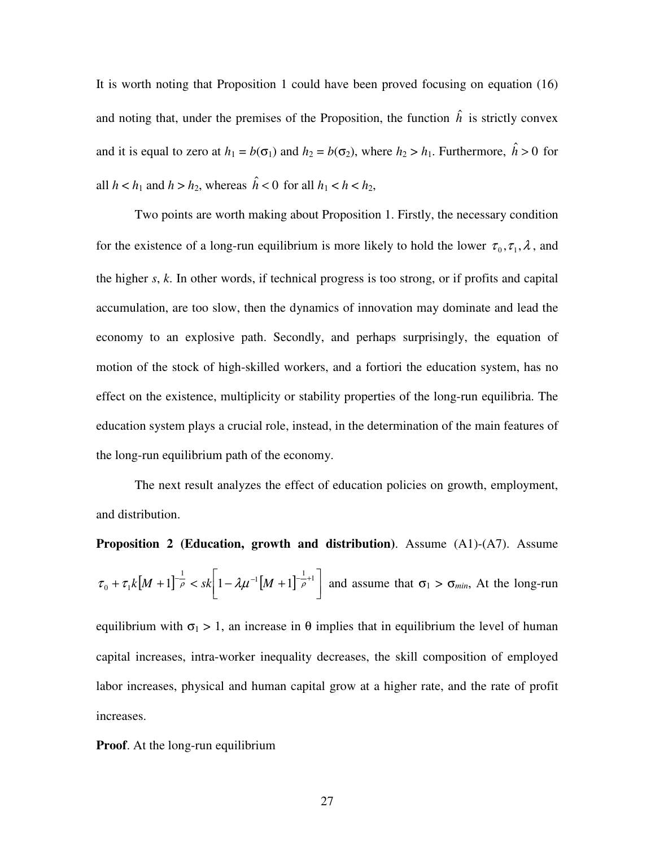It is worth noting that Proposition 1 could have been proved focusing on equation (16) and noting that, under the premises of the Proposition, the function  $\hat{h}$  is strictly convex and it is equal to zero at  $h_1 = b(\sigma_1)$  and  $h_2 = b(\sigma_2)$ , where  $h_2 > h_1$ . Furthermore,  $\hat{h} > 0$  for all  $h < h_1$  and  $h > h_2$ , whereas  $\hat{h} < 0$  for all  $h_1 < h < h_2$ ,

Two points are worth making about Proposition 1. Firstly, the necessary condition for the existence of a long-run equilibrium is more likely to hold the lower  $\tau_0, \tau_1, \lambda$ , and the higher *s*, *k*. In other words, if technical progress is too strong, or if profits and capital accumulation, are too slow, then the dynamics of innovation may dominate and lead the economy to an explosive path. Secondly, and perhaps surprisingly, the equation of motion of the stock of high-skilled workers, and a fortiori the education system, has no effect on the existence, multiplicity or stability properties of the long-run equilibria. The education system plays a crucial role, instead, in the determination of the main features of the long-run equilibrium path of the economy.

The next result analyzes the effect of education policies on growth, employment, and distribution.

**Proposition 2 (Education, growth and distribution)**. Assume (A1)-(A7). Assume  $[M+1]^{-\frac{1}{\rho}} < sk \left[1 - \lambda \mu^{-1} [M+1]^{-\frac{1}{\rho}+1} \right]$ 1 L  $+ \tau_1 k \left[M + 1 \right]^{-\frac{1}{\rho}} < sk \left[ 1 - \lambda \mu^{-1} \left[M + 1 \right]^{-\frac{1}{\rho} + 1} \right]$  $\tau_0 + \tau_1 k[M+1]$   $\bar{\rho}$  < sk  $1 - \lambda \mu^{-1}[M+1]$   $\bar{\rho}$  and assume that  $\sigma_1 > \sigma_{min}$ , At the long-run

equilibrium with  $\sigma_1 > 1$ , an increase in  $\theta$  implies that in equilibrium the level of human capital increases, intra-worker inequality decreases, the skill composition of employed labor increases, physical and human capital grow at a higher rate, and the rate of profit increases.

**Proof.** At the long-run equilibrium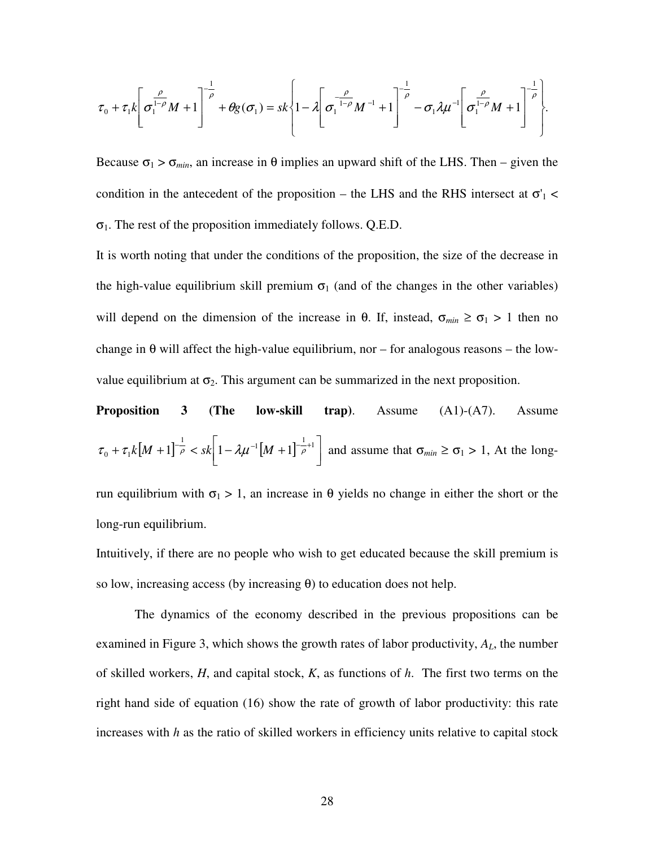$$
\tau_0 + \tau_1 k \left[ \sigma_1^{\frac{\rho}{1-\rho}} M + 1 \right]^{\frac{1}{\rho}} + \theta g(\sigma_1) = s k \left\{ 1 - \lambda \left[ \sigma_1^{-\frac{\rho}{1-\rho}} M^{-1} + 1 \right]^{\frac{1}{\rho}} - \sigma_1 \lambda \mu^{-1} \left[ \sigma_1^{\frac{\rho}{1-\rho}} M + 1 \right]^{\frac{1}{\rho}} \right\}.
$$

Because  $\sigma_1 > \sigma_{min}$ , an increase in  $\theta$  implies an upward shift of the LHS. Then – given the condition in the antecedent of the proposition – the LHS and the RHS intersect at  $\sigma_1$  <  $\sigma_1$ . The rest of the proposition immediately follows. Q.E.D.

It is worth noting that under the conditions of the proposition, the size of the decrease in the high-value equilibrium skill premium  $\sigma_1$  (and of the changes in the other variables) will depend on the dimension of the increase in  $\theta$ . If, instead,  $\sigma_{min} \ge \sigma_1 > 1$  then no change in  $\theta$  will affect the high-value equilibrium, nor – for analogous reasons – the lowvalue equilibrium at  $\sigma_2$ . This argument can be summarized in the next proposition.

**Proposition 3 (The low-skill trap).** Assume (A1)-(A7). Assume 
$$
\tau_0 + \tau_1 k \left[M + 1\right]^{-\frac{1}{\rho}} < sk \left[1 - \lambda \mu^{-1} \left[M + 1\right]^{-\frac{1}{\rho}+1}\right]
$$
 and assume that  $\sigma_{min} \ge \sigma_1 > 1$ , At the long-

run equilibrium with  $σ_1 > 1$ , an increase in θ yields no change in either the short or the long-run equilibrium.

Intuitively, if there are no people who wish to get educated because the skill premium is so low, increasing access (by increasing  $\theta$ ) to education does not help.

 The dynamics of the economy described in the previous propositions can be examined in Figure 3, which shows the growth rates of labor productivity, *AL*, the number of skilled workers, *H*, and capital stock, *K*, as functions of *h*. The first two terms on the right hand side of equation (16) show the rate of growth of labor productivity: this rate increases with *h* as the ratio of skilled workers in efficiency units relative to capital stock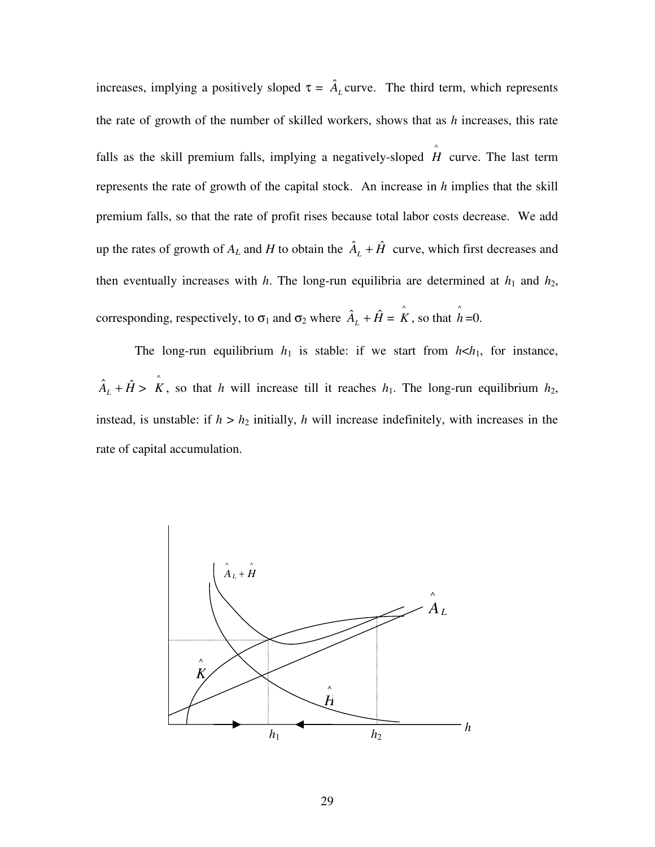increases, implying a positively sloped  $\tau = \hat{A}_L$  curve. The third term, which represents the rate of growth of the number of skilled workers, shows that as *h* increases, this rate falls as the skill premium falls, implying a negatively-sloped  $\hat{H}$  curve. The last term represents the rate of growth of the capital stock. An increase in *h* implies that the skill premium falls, so that the rate of profit rises because total labor costs decrease. We add up the rates of growth of  $A_L$  and  $H$  to obtain the  $\hat{A}_L + \hat{H}$  curve, which first decreases and then eventually increases with  $h$ . The long-run equilibria are determined at  $h_1$  and  $h_2$ , corresponding, respectively, to  $\sigma_1$  and  $\sigma_2$  where  $\hat{A}_L + \hat{H} = \hat{K}$ , so that  $\hat{h} = 0$ .

The long-run equilibrium  $h_1$  is stable: if we start from  $h \lt h_1$ , for instance,  $\hat{A}_L + \hat{H} > \hat{K}$ , so that *h* will increase till it reaches *h*<sub>1</sub>. The long-run equilibrium *h*<sub>2</sub>, instead, is unstable: if  $h > h_2$  initially, *h* will increase indefinitely, with increases in the rate of capital accumulation.

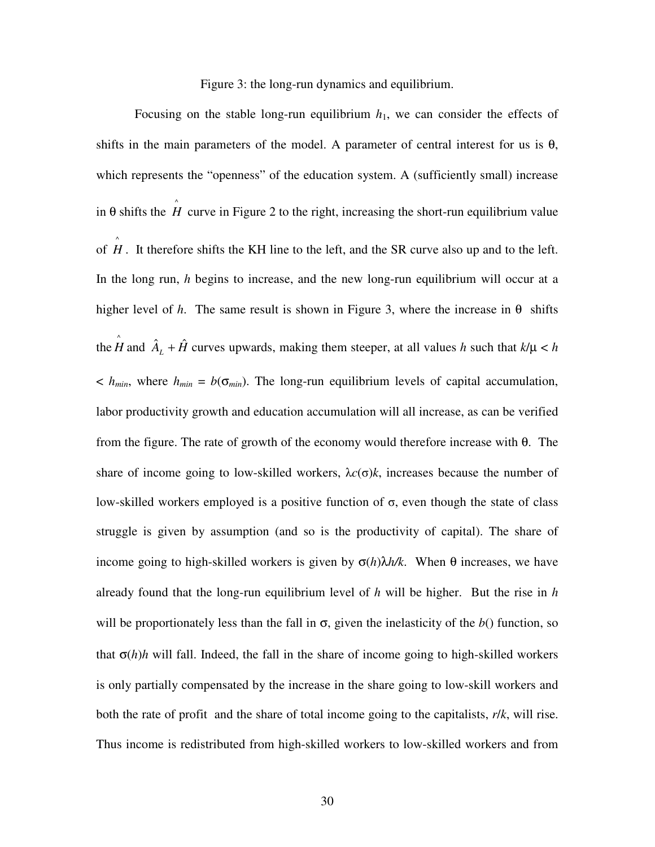Figure 3: the long-run dynamics and equilibrium.

Focusing on the stable long-run equilibrium  $h_1$ , we can consider the effects of shifts in the main parameters of the model. A parameter of central interest for us is  $\theta$ , which represents the "openness" of the education system. A (sufficiently small) increase in  $\theta$  shifts the  $\hat{H}$  curve in Figure 2 to the right, increasing the short-run equilibrium value of  $\hat{H}$ . It therefore shifts the KH line to the left, and the SR curve also up and to the left. In the long run, *h* begins to increase, and the new long-run equilibrium will occur at a higher level of *h*. The same result is shown in Figure 3, where the increase in  $\theta$  shifts the  $\hat{H}$  and  $\hat{A}_L + \hat{H}$  curves upwards, making them steeper, at all values *h* such that  $k/\mu < h$  $\langle h_{\text{min}}\rangle$ , where  $h_{\text{min}} = b(\sigma_{\text{min}})$ . The long-run equilibrium levels of capital accumulation, labor productivity growth and education accumulation will all increase, as can be verified from the figure. The rate of growth of the economy would therefore increase with θ. The share of income going to low-skilled workers,  $\lambda c(\sigma)k$ , increases because the number of low-skilled workers employed is a positive function of σ, even though the state of class struggle is given by assumption (and so is the productivity of capital). The share of income going to high-skilled workers is given by  $\sigma(h)\lambda h/k$ . When  $\theta$  increases, we have already found that the long-run equilibrium level of *h* will be higher. But the rise in *h* will be proportionately less than the fall in  $\sigma$ , given the inelasticity of the  $b$ () function, so that  $\sigma(h)h$  will fall. Indeed, the fall in the share of income going to high-skilled workers is only partially compensated by the increase in the share going to low-skill workers and both the rate of profit and the share of total income going to the capitalists, *r*/*k*, will rise. Thus income is redistributed from high-skilled workers to low-skilled workers and from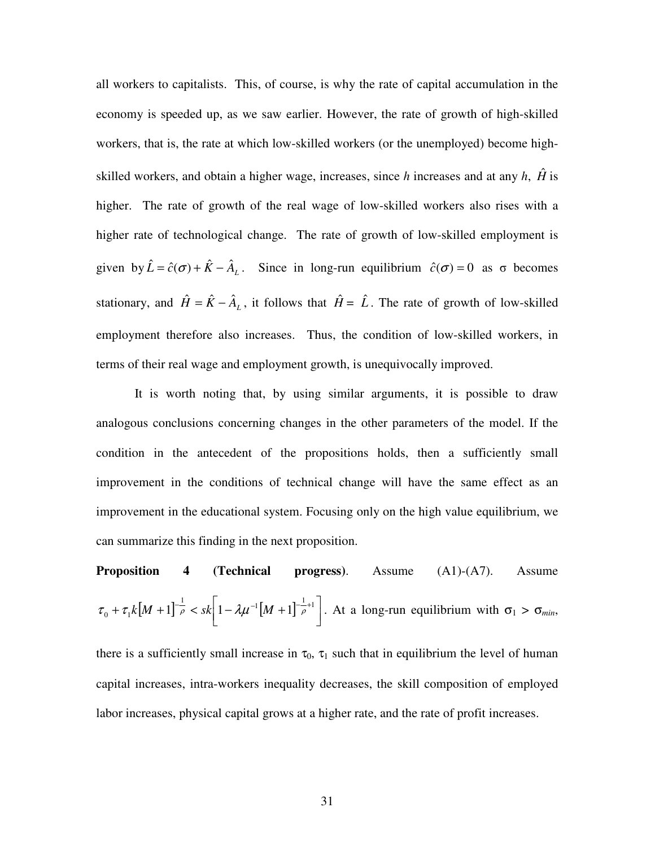all workers to capitalists. This, of course, is why the rate of capital accumulation in the economy is speeded up, as we saw earlier. However, the rate of growth of high-skilled workers, that is, the rate at which low-skilled workers (or the unemployed) become highskilled workers, and obtain a higher wage, increases, since *h* increases and at any *h*,  $\hat{H}$  is higher. The rate of growth of the real wage of low-skilled workers also rises with a higher rate of technological change. The rate of growth of low-skilled employment is given by  $\hat{L} = \hat{c}(\sigma) + \hat{K} - \hat{A}_L$ . Since in long-run equilibrium  $\hat{c}(\sigma) = 0$  as  $\sigma$  becomes stationary, and  $\hat{H} = \hat{K} - \hat{A}_L$ , it follows that  $\hat{H} = \hat{L}$ . The rate of growth of low-skilled employment therefore also increases. Thus, the condition of low-skilled workers, in terms of their real wage and employment growth, is unequivocally improved.

It is worth noting that, by using similar arguments, it is possible to draw analogous conclusions concerning changes in the other parameters of the model. If the condition in the antecedent of the propositions holds, then a sufficiently small improvement in the conditions of technical change will have the same effect as an improvement in the educational system. Focusing only on the high value equilibrium, we can summarize this finding in the next proposition.

**Proposition 4 (Technical progress)**. Assume (A1)-(A7). Assume  $[M+1]^{-\frac{1}{\rho}} < sk \left[1 - \lambda \mu^{-1} [M+1]^{-\frac{1}{\rho}+1} \right]$ ן L  $+ \tau_1 k \left[M + 1 \right]^{-\frac{1}{\rho}} < sk \left[ 1 - \lambda \mu^{-1} \left[M + 1 \right]^{-\frac{1}{\rho} + 1} \right]$  $\tau_0 + \tau_1 k[M+1]$   $\bar{\rho}$  < sk  $1 - \lambda \mu^{-1}[M+1]$   $\bar{\rho}$  . At a long-run equilibrium with  $\sigma_1 > \sigma_{min}$ ,

there is a sufficiently small increase in  $\tau_0$ ,  $\tau_1$  such that in equilibrium the level of human capital increases, intra-workers inequality decreases, the skill composition of employed labor increases, physical capital grows at a higher rate, and the rate of profit increases.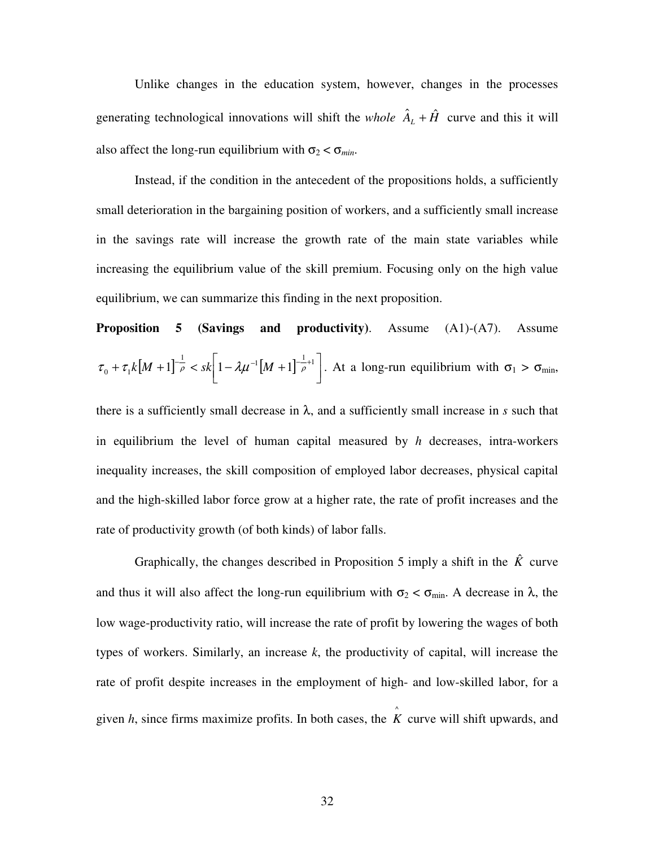Unlike changes in the education system, however, changes in the processes generating technological innovations will shift the *whole*  $\hat{A}_{L} + \hat{H}$  curve and this it will also affect the long-run equilibrium with  $\sigma_2 < \sigma_{min}$ .

Instead, if the condition in the antecedent of the propositions holds, a sufficiently small deterioration in the bargaining position of workers, and a sufficiently small increase in the savings rate will increase the growth rate of the main state variables while increasing the equilibrium value of the skill premium. Focusing only on the high value equilibrium, we can summarize this finding in the next proposition.

**Proposition 5 (Savings and productivity).** Assume (A1)-(A7). Assume  $[M+1]^{-\frac{1}{\rho}} < sk \left[1 - \lambda \mu^{-1} [M+1]^{-\frac{1}{\rho}+1} \right]$ 1 L  $+ \tau_1 k \left[M + 1 \right]^{-\frac{1}{\rho}} < sk \left[ 1 - \lambda \mu^{-1} \left[M + 1 \right]^{-\frac{1}{\rho} + 1} \right]$  $\tau_0 + \tau_1 k[M+1]$   $\bar{\rho}$  < sk  $1 - \lambda \mu^{-1}[M+1]$   $\bar{\rho}^{+1}$  . At a long-run equilibrium with  $\sigma_1 > \sigma_{\min}$ ,

there is a sufficiently small decrease in  $\lambda$ , and a sufficiently small increase in *s* such that in equilibrium the level of human capital measured by *h* decreases, intra-workers inequality increases, the skill composition of employed labor decreases, physical capital and the high-skilled labor force grow at a higher rate, the rate of profit increases and the rate of productivity growth (of both kinds) of labor falls.

Graphically, the changes described in Proposition 5 imply a shift in the  $\hat{K}$  curve and thus it will also affect the long-run equilibrium with  $\sigma_2 < \sigma_{\min}$ . A decrease in  $\lambda$ , the low wage-productivity ratio, will increase the rate of profit by lowering the wages of both types of workers. Similarly, an increase *k*, the productivity of capital, will increase the rate of profit despite increases in the employment of high- and low-skilled labor, for a given *h*, since firms maximize profits. In both cases, the  $\hat{K}$  curve will shift upwards, and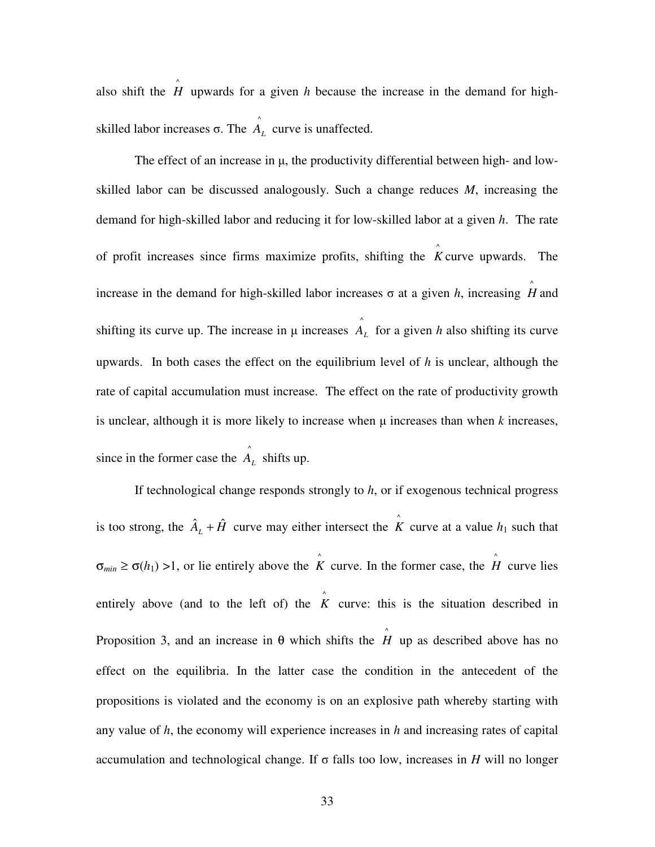also shift the  $\hat{H}$  upwards for a given *h* because the increase in the demand for highskilled labor increases σ. The  $\hat{A}_L$  curve is unaffected.

The effect of an increase in  $\mu$ , the productivity differential between high- and lowskilled labor can be discussed analogously. Such a change reduces *M*, increasing the demand for high-skilled labor and reducing it for low-skilled labor at a given *h*. The rate of profit increases since firms maximize profits, shifting the  $K$  curve upwards. The increase in the demand for high-skilled labor increases  $\sigma$  at a given *h*, increasing  $\hat{H}$  and shifting its curve up. The increase in  $\mu$  increases  $\hat{A}_L$  for a given *h* also shifting its curve upwards. In both cases the effect on the equilibrium level of *h* is unclear, although the rate of capital accumulation must increase. The effect on the rate of productivity growth is unclear, although it is more likely to increase when  $\mu$  increases than when  $k$  increases, since in the former case the  $\hat{A}_L$  shifts up.

 If technological change responds strongly to *h*, or if exogenous technical progress is too strong, the  $\hat{A}_L + \hat{H}$  curve may either intersect the  $\hat{K}$  curve at a value  $h_1$  such that  $\sigma_{min} \geq \sigma(h_1) > 1$ , or lie entirely above the *K* curve. In the former case, the *H* curve lies entirely above (and to the left of) the  $\hat{K}$  curve: this is the situation described in Proposition 3, and an increase in  $\theta$  which shifts the  $\hat{H}$  up as described above has no effect on the equilibria. In the latter case the condition in the antecedent of the propositions is violated and the economy is on an explosive path whereby starting with any value of *h*, the economy will experience increases in *h* and increasing rates of capital accumulation and technological change. If  $\sigma$  falls too low, increases in *H* will no longer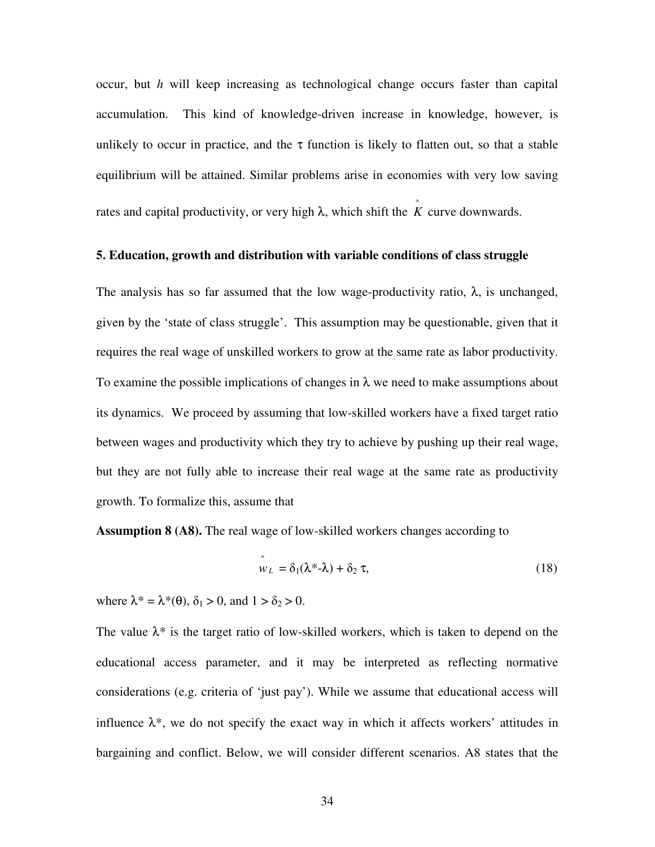occur, but *h* will keep increasing as technological change occurs faster than capital accumulation. This kind of knowledge-driven increase in knowledge, however, is unlikely to occur in practice, and the  $\tau$  function is likely to flatten out, so that a stable equilibrium will be attained. Similar problems arise in economies with very low saving rates and capital productivity, or very high  $\lambda$ , which shift the  $\hat{K}$  curve downwards.

#### **5. Education, growth and distribution with variable conditions of class struggle**

The analysis has so far assumed that the low wage-productivity ratio,  $\lambda$ , is unchanged, given by the 'state of class struggle'. This assumption may be questionable, given that it requires the real wage of unskilled workers to grow at the same rate as labor productivity. To examine the possible implications of changes in  $\lambda$  we need to make assumptions about its dynamics. We proceed by assuming that low-skilled workers have a fixed target ratio between wages and productivity which they try to achieve by pushing up their real wage, but they are not fully able to increase their real wage at the same rate as productivity growth. To formalize this, assume that

**Assumption 8 (A8).** The real wage of low-skilled workers changes according to

$$
\hat{w}_L = \delta_1(\lambda^* - \lambda) + \delta_2 \tau, \tag{18}
$$

where  $\lambda^* = \lambda^*(\theta)$ ,  $\delta_1 > 0$ , and  $1 > \delta_2 > 0$ .

The value  $\lambda^*$  is the target ratio of low-skilled workers, which is taken to depend on the educational access parameter, and it may be interpreted as reflecting normative considerations (e.g. criteria of 'just pay'). While we assume that educational access will influence  $\lambda^*$ , we do not specify the exact way in which it affects workers' attitudes in bargaining and conflict. Below, we will consider different scenarios. A8 states that the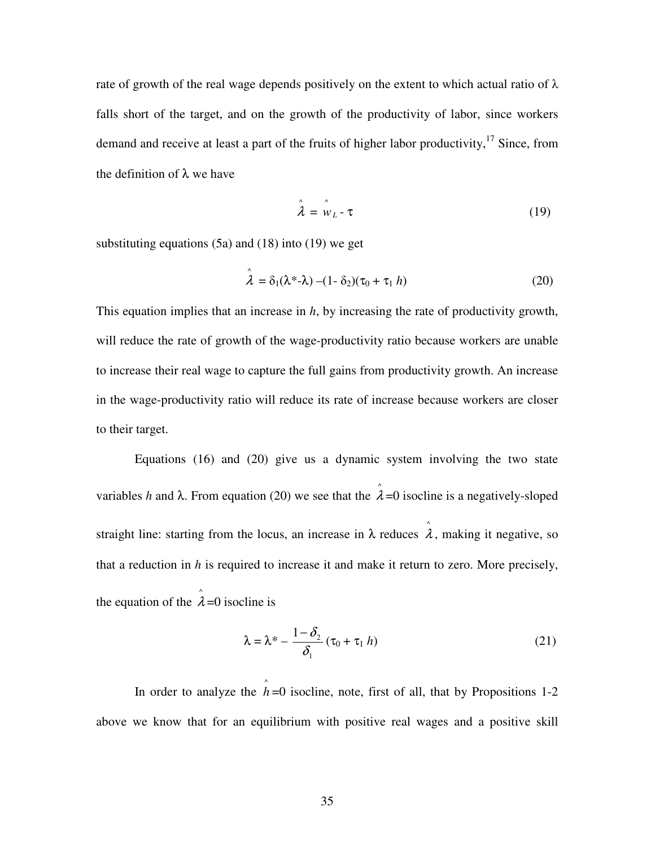rate of growth of the real wage depends positively on the extent to which actual ratio of  $\lambda$ falls short of the target, and on the growth of the productivity of labor, since workers demand and receive at least a part of the fruits of higher labor productivity,  $17$  Since, from the definition of  $\lambda$  we have

$$
\hat{\lambda} = \hat{w}_L - \tau \tag{19}
$$

substituting equations (5a) and (18) into (19) we get

$$
\hat{\lambda} = \delta_1(\lambda^* - \lambda) - (1 - \delta_2)(\tau_0 + \tau_1 h)
$$
\n(20)

This equation implies that an increase in *h*, by increasing the rate of productivity growth, will reduce the rate of growth of the wage-productivity ratio because workers are unable to increase their real wage to capture the full gains from productivity growth. An increase in the wage-productivity ratio will reduce its rate of increase because workers are closer to their target.

 Equations (16) and (20) give us a dynamic system involving the two state variables *h* and  $\lambda$ . From equation (20) we see that the  $\hat{\lambda}$ =0 isocline is a negatively-sloped straight line: starting from the locus, an increase in  $\lambda$  reduces  $\hat{\lambda}$ , making it negative, so that a reduction in *h* is required to increase it and make it return to zero. More precisely, the equation of the  $\hat{\lambda}$ =0 isocline is

$$
\lambda = \lambda^* - \frac{1 - \delta_2}{\delta_1} (\tau_0 + \tau_1 h)
$$
\n(21)

In order to analyze the  $\hat{h}$  =0 isocline, note, first of all, that by Propositions 1-2 above we know that for an equilibrium with positive real wages and a positive skill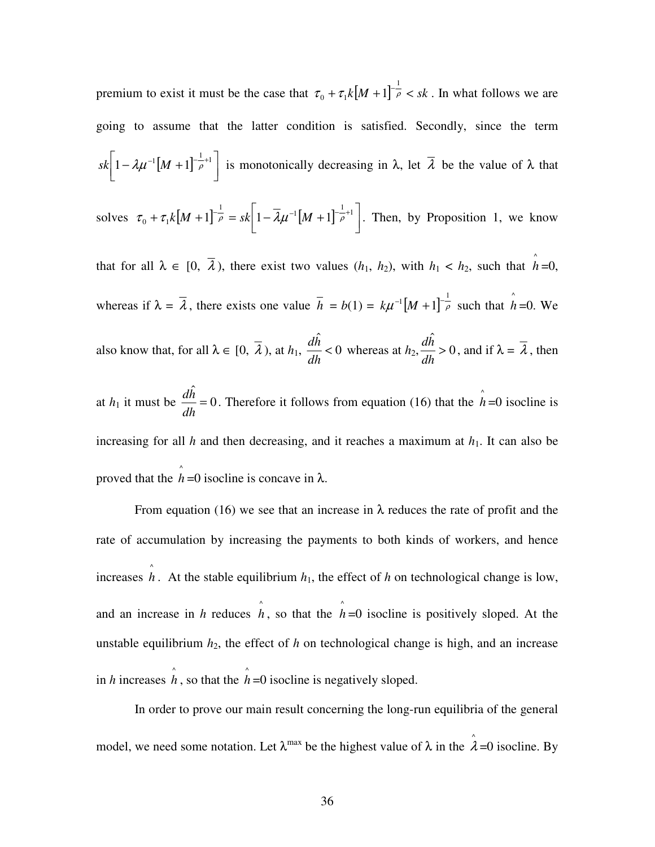premium to exist it must be the case that  $\tau_0 + \tau_1 k [M + 1]^{-\frac{1}{\rho}} < sk$ 1  $\sigma_0 + \tau_1 k [M + 1]^{-\rho} < sk$ . In what follows we are going to assume that the latter condition is satisfied. Secondly, since the term  $[M + 1]^{-\frac{1}{\rho}+1}$ ן L  $sk \left[1 - \lambda \mu^{-1} [M+1]^{-\frac{1}{\rho}+1}\right]$  is monotonically decreasing in  $\lambda$ , let  $\overline{\lambda}$  be the value of  $\lambda$  that solves  $\tau_0 + \tau_1 k \left[ M + 1 \right]^{-\frac{1}{\rho}} = s k \left[ 1 - \overline{\lambda} \mu^{-1} \left[ M + 1 \right]^{-\frac{1}{\rho}+1} \right]$ ן  $\overline{\mathsf{L}}$  $+ \tau_1 k[M+1]^{-\frac{1}{\rho}} = sk \left[1 - \overline{\lambda} \mu^{-1}[M+1]^{-\frac{1}{\rho}+1}\right]$  $\tau_0 + \tau_1 k[M+1]$   $\bar{\rho} = sk[1 - \lambda \mu^{-1}[M+1]$   $\bar{\rho}$ <sup>-+1</sup>. Then, by Proposition 1, we know that for all  $\lambda \in [0, \bar{\lambda})$ , there exist two values  $(h_1, h_2)$ , with  $h_1 < h_2$ , such that  $\hat{h} = 0$ , whereas if  $\lambda = \overline{\lambda}$ , there exists one value  $\overline{h} = b(1) = k\mu^{-1}[M+1]^{-\frac{1}{\rho}}$  such that  $\hat{h} = 0$ . We also know that, for all  $\lambda \in [0, \lambda)$ , at  $h_1, \frac{dn}{n} < 0$ ˆ  $\lt$ *dh*  $\frac{dh}{dt}$  < 0 whereas at  $h_2$ ,  $\frac{dh}{dt}$  > 0 ˆ > *dh*  $\frac{dh}{dt} > 0$ , and if  $\lambda = \overline{\lambda}$ , then at  $h_1$  it must be  $\frac{dn}{n} = 0$  $\hat{h}$ = *dh*  $\frac{dh}{dt} = 0$ . Therefore it follows from equation (16) that the  $\hat{h} = 0$  isocline is increasing for all *h* and then decreasing, and it reaches a maximum at  $h_1$ . It can also be proved that the  $\hat{h}$  =0 isocline is concave in  $\lambda$ .

From equation (16) we see that an increase in  $\lambda$  reduces the rate of profit and the rate of accumulation by increasing the payments to both kinds of workers, and hence increases  $\hat{h}$ . At the stable equilibrium  $h_1$ , the effect of h on technological change is low, and an increase in *h* reduces  $\hat{h}$ , so that the  $\hat{h}$ =0 isocline is positively sloped. At the unstable equilibrium  $h_2$ , the effect of  $h$  on technological change is high, and an increase in *h* increases  $\hat{h}$ , so that the  $\hat{h}$  =0 isocline is negatively sloped.

 In order to prove our main result concerning the long-run equilibria of the general model, we need some notation. Let  $\lambda^{\max}$  be the highest value of  $\lambda$  in the  $\hat{\lambda} = 0$  isocline. By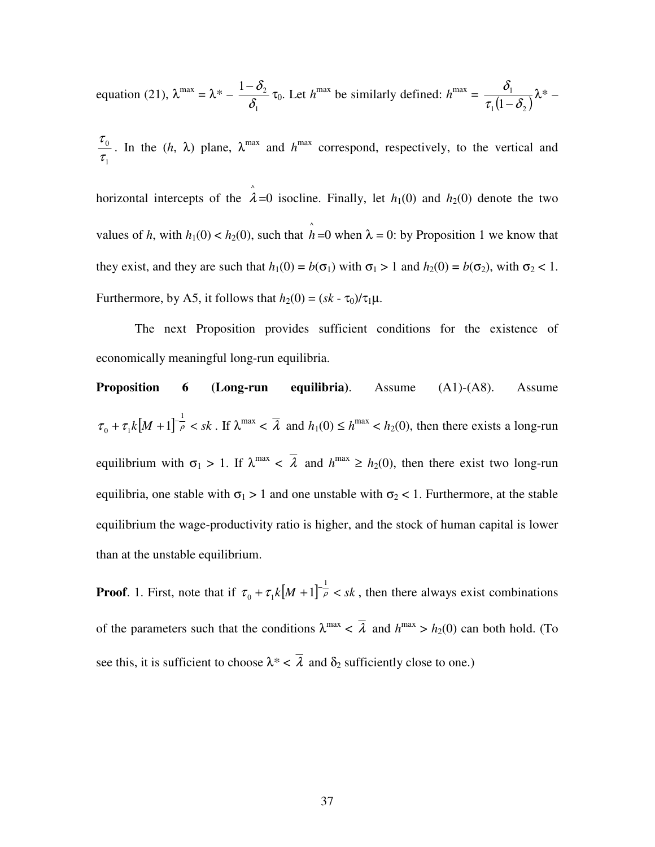equation (21), 
$$
\lambda^{\max} = \lambda^* - \frac{1-\delta_2}{\delta_1} \tau_0
$$
. Let  $h^{\max}$  be similarly defined:  $h^{\max} = \frac{\delta_1}{\tau_1(1-\delta_2)} \lambda^* -$ 

1  $\boldsymbol{0}$ τ  $\frac{\tau_0}{\tau}$ . In the (*h*,  $\lambda$ ) plane,  $\lambda^{\max}$  and  $h^{\max}$  correspond, respectively, to the vertical and

horizontal intercepts of the  $\hat{\lambda}$ =0 isocline. Finally, let  $h_1(0)$  and  $h_2(0)$  denote the two values of *h*, with  $h_1(0) < h_2(0)$ , such that  $\hat{h} = 0$  when  $\lambda = 0$ : by Proposition 1 we know that they exist, and they are such that  $h_1(0) = b(\sigma_1)$  with  $\sigma_1 > 1$  and  $h_2(0) = b(\sigma_2)$ , with  $\sigma_2 < 1$ . Furthermore, by A5, it follows that  $h_2(0) = (sk - \tau_0)/\tau_1\mu$ .

The next Proposition provides sufficient conditions for the existence of economically meaningful long-run equilibria.

**Proposition 6 (Long-run equilibria)**. Assume (A1)-(A8). Assume  $\tau_0 + \tau_1 k [M + 1]^{-\frac{1}{\rho}} < sk$ 1  $\sum_{i=0}^{\infty}$  +  $\tau_1 k[M+1]$   $\bar{\rho}$  < *sk*. If  $\lambda^{\max}$  <  $\bar{\lambda}$  and  $h_1(0) \leq h^{\max}$  <  $h_2(0)$ , then there exists a long-run equilibrium with  $\sigma_1 > 1$ . If  $\lambda^{\max} < \overline{\lambda}$  and  $h^{\max} \ge h_2(0)$ , then there exist two long-run equilibria, one stable with  $\sigma_1 > 1$  and one unstable with  $\sigma_2 < 1$ . Furthermore, at the stable equilibrium the wage-productivity ratio is higher, and the stock of human capital is lower than at the unstable equilibrium.

**Proof**. 1. First, note that if  $\tau_0 + \tau_1 k [M + 1]^{-\frac{1}{\rho}} < sk$ 1  $\sigma_0 + \tau_1 k[M+1]$ <sup> $\bar{\rho}$ </sup> < sk, then there always exist combinations of the parameters such that the conditions  $\lambda^{max} < \overline{\lambda}$  and  $h^{max} > h_2(0)$  can both hold. (To see this, it is sufficient to choose  $\lambda^* < \overline{\lambda}$  and  $\delta_2$  sufficiently close to one.)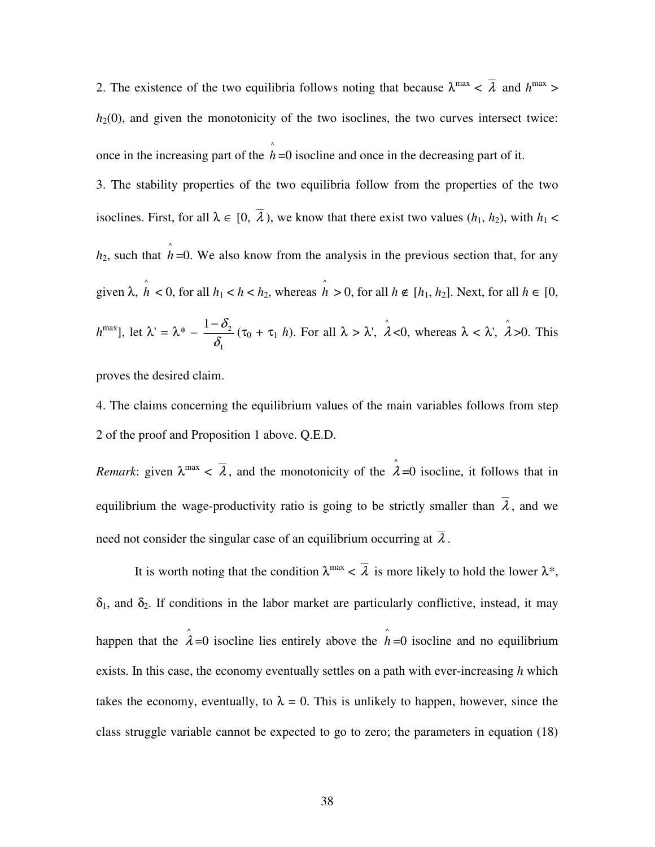2. The existence of the two equilibria follows noting that because  $\lambda^{\max} < \overline{\lambda}$  and  $h^{\max} >$  $h_2(0)$ , and given the monotonicity of the two isoclines, the two curves intersect twice: once in the increasing part of the  $\hat{h}$  =0 isocline and once in the decreasing part of it.

3. The stability properties of the two equilibria follow from the properties of the two isoclines. First, for all  $\lambda \in [0, \bar{\lambda})$ , we know that there exist two values  $(h_1, h_2)$ , with  $h_1 <$  $h_2$ , such that  $\hat{h}$  =0. We also know from the analysis in the previous section that, for any given  $\lambda$ ,  $\hat{h} < 0$ , for all  $h_1 < h < h_2$ , whereas  $\hat{h} > 0$ , for all  $h \notin [h_1, h_2]$ . Next, for all  $h \in [0, h_1]$ .  $h^{\max}$ ], let  $\lambda' = \lambda^*$  –  $1 - \delta_2$  $\delta$  $-\delta_2$  (τ<sub>0</sub> + τ<sub>1</sub> *h*). For all λ > λ',  $\hat{\lambda}$  <0, whereas λ < λ',  $\hat{\lambda}$  >0. This

proves the desired claim.

1

4. The claims concerning the equilibrium values of the main variables follows from step 2 of the proof and Proposition 1 above. Q.E.D.

*Remark*: given  $\lambda^{\max} < \overline{\lambda}$ , and the monotonicity of the  $\hat{\lambda} = 0$  isocline, it follows that in equilibrium the wage-productivity ratio is going to be strictly smaller than  $\overline{\lambda}$ , and we need not consider the singular case of an equilibrium occurring at  $\overline{\lambda}$ .

It is worth noting that the condition  $\lambda^{\max} < \overline{\lambda}$  is more likely to hold the lower  $\lambda^*$ ,  $\delta_1$ , and  $\delta_2$ . If conditions in the labor market are particularly conflictive, instead, it may happen that the  $\hat{\lambda}$ =0 isocline lies entirely above the  $\hat{h}$ =0 isocline and no equilibrium exists. In this case, the economy eventually settles on a path with ever-increasing *h* which takes the economy, eventually, to  $\lambda = 0$ . This is unlikely to happen, however, since the class struggle variable cannot be expected to go to zero; the parameters in equation (18)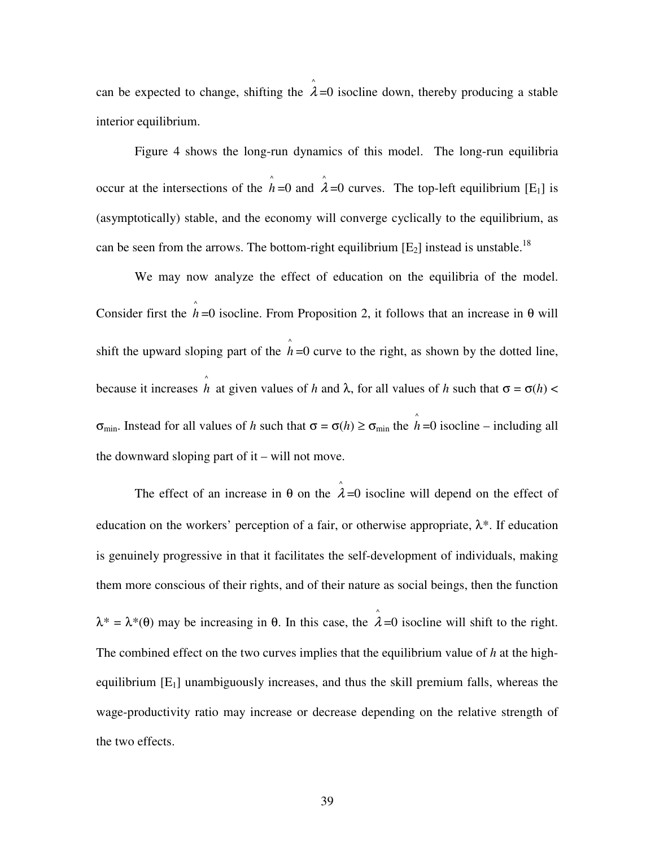can be expected to change, shifting the  $\hat{\lambda}$ =0 isocline down, thereby producing a stable interior equilibrium.

 Figure 4 shows the long-run dynamics of this model. The long-run equilibria occur at the intersections of the  $\hat{h}$ =0 and  $\hat{\lambda}$ =0 curves. The top-left equilibrium [E<sub>1</sub>] is (asymptotically) stable, and the economy will converge cyclically to the equilibrium, as can be seen from the arrows. The bottom-right equilibrium  $[E_2]$  instead is unstable.<sup>18</sup>

We may now analyze the effect of education on the equilibria of the model. Consider first the  $\hat{h}$  =0 isocline. From Proposition 2, it follows that an increase in  $\theta$  will shift the upward sloping part of the  $\hat{h}$  =0 curve to the right, as shown by the dotted line, because it increases  $\hat{h}$  at given values of *h* and  $\lambda$ , for all values of *h* such that  $\sigma = \sigma(h)$  < σ<sub>min</sub>. Instead for all values of *h* such that  $\sigma = \sigma(h) \ge \sigma_{\min}$  the  $\hat{h} = 0$  isocline – including all the downward sloping part of it – will not move.

The effect of an increase in  $\theta$  on the  $\hat{\lambda}$ =0 isocline will depend on the effect of education on the workers' perception of a fair, or otherwise appropriate,  $\lambda^*$ . If education is genuinely progressive in that it facilitates the self-development of individuals, making them more conscious of their rights, and of their nature as social beings, then the function  $\lambda^* = \lambda^*(\theta)$  may be increasing in  $\theta$ . In this case, the  $\hat{\lambda} = 0$  isocline will shift to the right. The combined effect on the two curves implies that the equilibrium value of *h* at the highequilibrium  $[E_1]$  unambiguously increases, and thus the skill premium falls, whereas the wage-productivity ratio may increase or decrease depending on the relative strength of the two effects.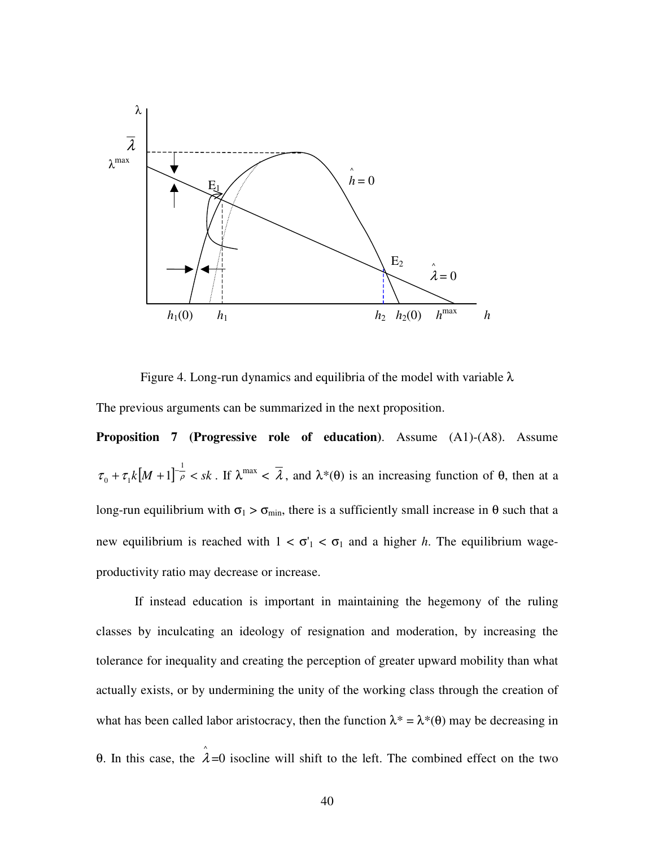

Figure 4. Long-run dynamics and equilibria of the model with variable  $\lambda$ 

The previous arguments can be summarized in the next proposition.

**Proposition 7 (Progressive role of education)**. Assume (A1)-(A8). Assume  $\tau_0 + \tau_1 k [M + 1]^{-\frac{1}{\rho}} < sk$ 1  $\lambda_0 + \tau_1 k \left[M + 1\right]$   $\rightarrow \infty$  sk. If  $\lambda^{\max} < \overline{\lambda}$ , and  $\lambda^*(\theta)$  is an increasing function of  $\theta$ , then at a long-run equilibrium with  $\sigma_1 > \sigma_{\min}$ , there is a sufficiently small increase in  $\theta$  such that a new equilibrium is reached with  $1 < \sigma_1 < \sigma_1$  and a higher *h*. The equilibrium wageproductivity ratio may decrease or increase.

If instead education is important in maintaining the hegemony of the ruling classes by inculcating an ideology of resignation and moderation, by increasing the tolerance for inequality and creating the perception of greater upward mobility than what actually exists, or by undermining the unity of the working class through the creation of what has been called labor aristocracy, then the function  $\lambda^* = \lambda^*(\theta)$  may be decreasing in θ. In this case, the  $\hat{\lambda}$ =0 isocline will shift to the left. The combined effect on the two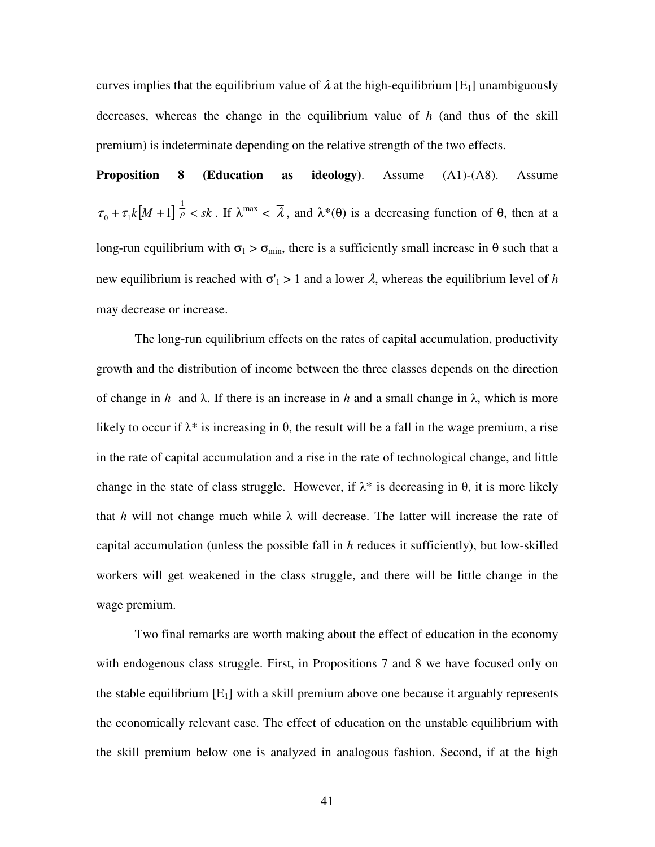curves implies that the equilibrium value of  $\lambda$  at the high-equilibrium [E<sub>1</sub>] unambiguously decreases, whereas the change in the equilibrium value of *h* (and thus of the skill premium) is indeterminate depending on the relative strength of the two effects.

**Proposition 8 (Education as ideology)**. Assume (A1)-(A8). Assume  $\tau_0 + \tau_1 k [M + 1]^{-\frac{1}{\rho}} < sk$ 1  $\lambda_0 + \tau_1 k \left[M + 1\right]$   $\rightarrow \infty$  sk. If  $\lambda^{\max} < \overline{\lambda}$ , and  $\lambda^*(\theta)$  is a decreasing function of  $\theta$ , then at a long-run equilibrium with  $\sigma_1 > \sigma_{\min}$ , there is a sufficiently small increase in  $\theta$  such that a new equilibrium is reached with  $\sigma_1 > 1$  and a lower  $\lambda$ , whereas the equilibrium level of *h* may decrease or increase.

The long-run equilibrium effects on the rates of capital accumulation, productivity growth and the distribution of income between the three classes depends on the direction of change in *h* and  $\lambda$ . If there is an increase in *h* and a small change in  $\lambda$ , which is more likely to occur if  $\lambda^*$  is increasing in  $\theta$ , the result will be a fall in the wage premium, a rise in the rate of capital accumulation and a rise in the rate of technological change, and little change in the state of class struggle. However, if  $\lambda^*$  is decreasing in  $\theta$ , it is more likely that *h* will not change much while  $\lambda$  will decrease. The latter will increase the rate of capital accumulation (unless the possible fall in *h* reduces it sufficiently), but low-skilled workers will get weakened in the class struggle, and there will be little change in the wage premium.

Two final remarks are worth making about the effect of education in the economy with endogenous class struggle. First, in Propositions 7 and 8 we have focused only on the stable equilibrium  $[E_1]$  with a skill premium above one because it arguably represents the economically relevant case. The effect of education on the unstable equilibrium with the skill premium below one is analyzed in analogous fashion. Second, if at the high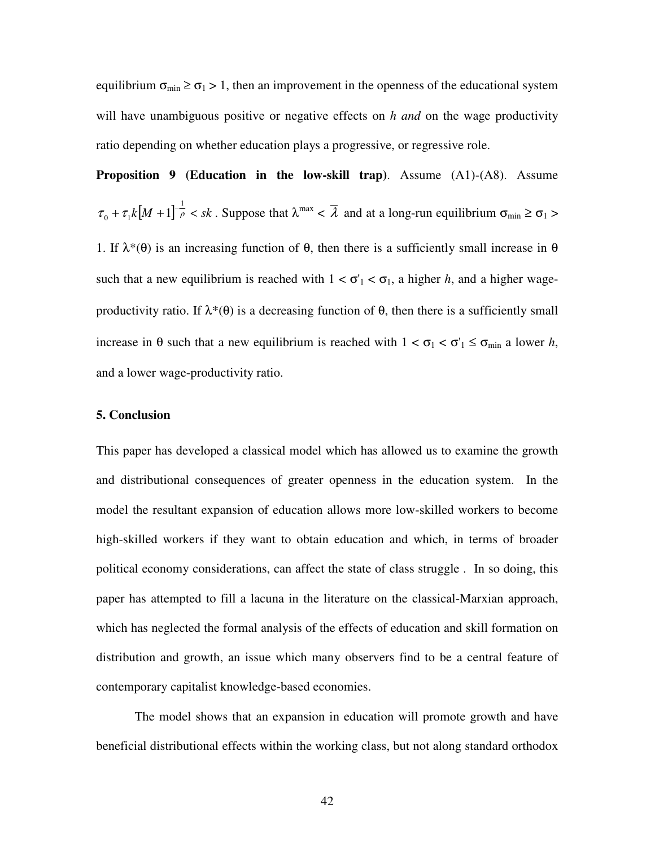equilibrium  $\sigma_{\min} \ge \sigma_1 > 1$ , then an improvement in the openness of the educational system will have unambiguous positive or negative effects on *h and* on the wage productivity ratio depending on whether education plays a progressive, or regressive role.

**Proposition 9 (Education in the low-skill trap)**. Assume (A1)-(A8). Assume  $\tau_0 + \tau_1 k [M + 1]^{-\frac{1}{\rho}} < sk$ 1  $\sum_{i=0}^{\infty}$  +  $\tau_1 k[M+1]$   $\rightarrow \infty$  sk. Suppose that  $\lambda^{\max}$  <  $\lambda$  and at a long-run equilibrium  $\sigma_{\min} \ge \sigma_1$  > 1. If  $\lambda^*(\theta)$  is an increasing function of  $\theta$ , then there is a sufficiently small increase in  $\theta$ such that a new equilibrium is reached with  $1 < \sigma_1 < \sigma_1$ , a higher *h*, and a higher wageproductivity ratio. If  $\lambda^*(\theta)$  is a decreasing function of  $\theta$ , then there is a sufficiently small increase in  $\theta$  such that a new equilibrium is reached with  $1 < \sigma_1 < \sigma'_{1} \le \sigma_{\min}$  a lower *h*, and a lower wage-productivity ratio.

#### **5. Conclusion**

This paper has developed a classical model which has allowed us to examine the growth and distributional consequences of greater openness in the education system. In the model the resultant expansion of education allows more low-skilled workers to become high-skilled workers if they want to obtain education and which, in terms of broader political economy considerations, can affect the state of class struggle . In so doing, this paper has attempted to fill a lacuna in the literature on the classical-Marxian approach, which has neglected the formal analysis of the effects of education and skill formation on distribution and growth, an issue which many observers find to be a central feature of contemporary capitalist knowledge-based economies.

The model shows that an expansion in education will promote growth and have beneficial distributional effects within the working class, but not along standard orthodox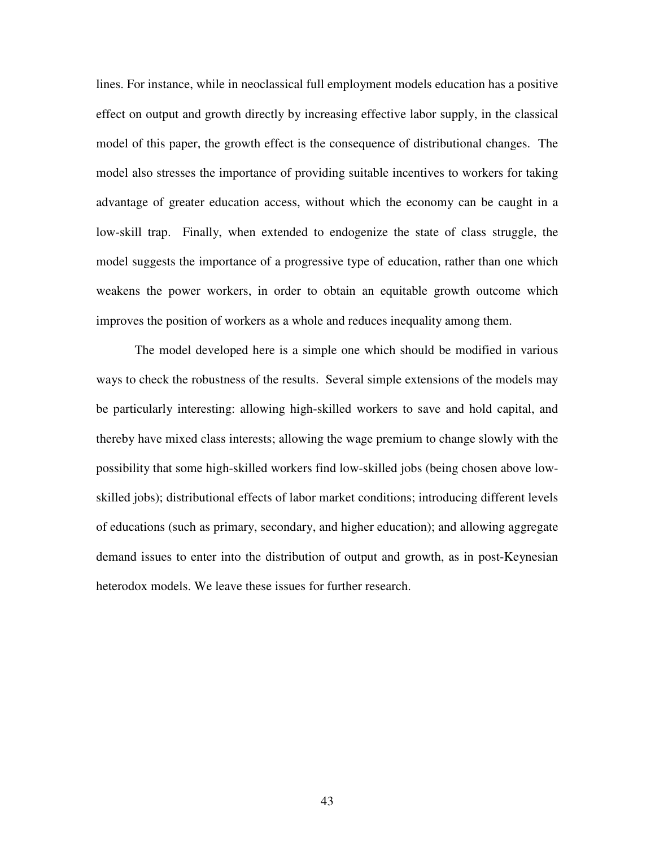lines. For instance, while in neoclassical full employment models education has a positive effect on output and growth directly by increasing effective labor supply, in the classical model of this paper, the growth effect is the consequence of distributional changes. The model also stresses the importance of providing suitable incentives to workers for taking advantage of greater education access, without which the economy can be caught in a low-skill trap. Finally, when extended to endogenize the state of class struggle, the model suggests the importance of a progressive type of education, rather than one which weakens the power workers, in order to obtain an equitable growth outcome which improves the position of workers as a whole and reduces inequality among them.

 The model developed here is a simple one which should be modified in various ways to check the robustness of the results. Several simple extensions of the models may be particularly interesting: allowing high-skilled workers to save and hold capital, and thereby have mixed class interests; allowing the wage premium to change slowly with the possibility that some high-skilled workers find low-skilled jobs (being chosen above lowskilled jobs); distributional effects of labor market conditions; introducing different levels of educations (such as primary, secondary, and higher education); and allowing aggregate demand issues to enter into the distribution of output and growth, as in post-Keynesian heterodox models. We leave these issues for further research.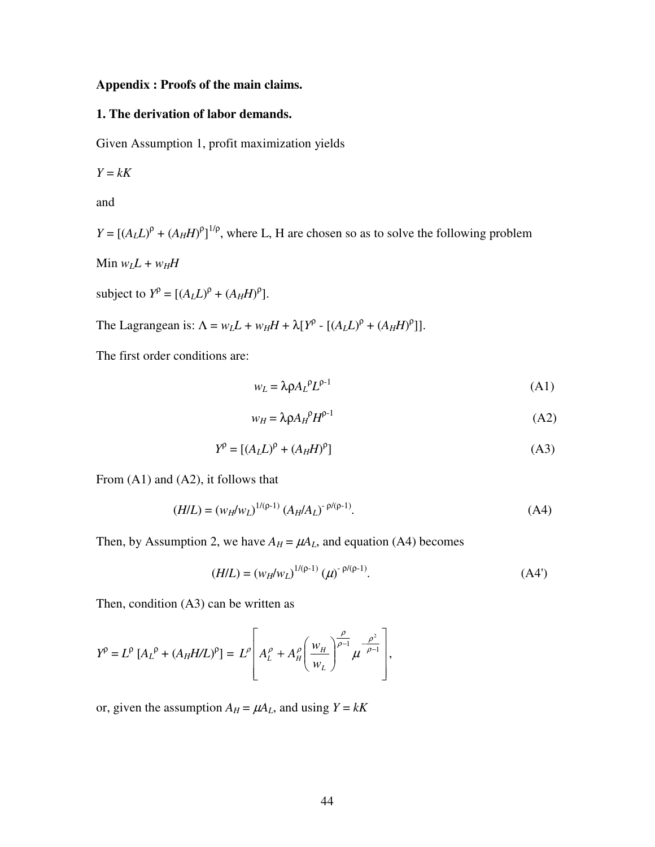#### **Appendix : Proofs of the main claims.**

#### **1. The derivation of labor demands.**

Given Assumption 1, profit maximization yields

$$
Y = kK
$$

and

 $Y = [(A_L L)^{\rho} + (A_H H)^{\rho}]^{1/\rho}$ , where L, H are chosen so as to solve the following problem

Min  $w_L L + w_H H$ 

subject to  $Y^{\rho} = [(A_L L)^{\rho} + (A_H H)^{\rho}].$ 

The Lagrangean is:  $\Lambda = w_L L + w_H H + \lambda [Y^{\rho} - [(A_L L)^{\rho} + (A_H H)^{\rho}]]$ .

The first order conditions are:

$$
w_L = \lambda \rho A_L{}^{\rho} L^{\rho - 1} \tag{A1}
$$

$$
w_H = \lambda \rho A_H^{\rho} H^{\rho - 1} \tag{A2}
$$

$$
Y^{\rho} = [(A_L L)^{\rho} + (A_H H)^{\rho}]
$$
 (A3)

From (A1) and (A2), it follows that

$$
(H/L) = (w_H/w_L)^{1/(\rho-1)} (A_H/A_L)^{-\rho/(\rho-1)}.
$$
 (A4)

Then, by Assumption 2, we have  $A_H = \mu A_L$ , and equation (A4) becomes

$$
(H/L) = (w_H/w_L)^{1/(\rho-1)} (\mu)^{-\rho/(\rho-1)}.
$$
 (A4')

Then, condition (A3) can be written as

$$
Y^{\rho} = L^{\rho} \left[ A_L^{\rho} + (A_H H/L)^{\rho} \right] = L^{\rho} \left[ A_L^{\rho} + A_H^{\rho} \left( \frac{w_H}{w_L} \right)^{\frac{\rho}{\rho - 1}} \mu^{-\frac{\rho^2}{\rho - 1}} \right],
$$

or, given the assumption  $A_H = \mu A_L$ , and using  $Y = kK$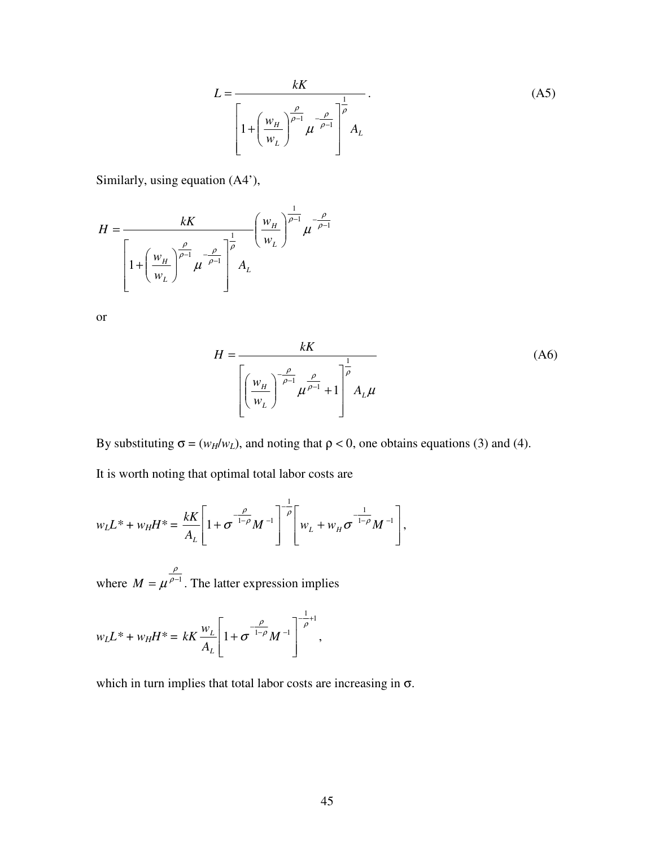$$
L = \frac{kK}{\left[1 + \left(\frac{w_H}{w_L}\right)^{\frac{\rho}{\rho - 1}} \mu^{-\frac{\rho}{\rho - 1}}\right]^{\frac{1}{\rho}} A_L}.
$$
 (A5)

Similarly, using equation (A4'),

$$
H = \frac{kK}{\left[1 + \left(\frac{w_H}{w_L}\right)^{\frac{\rho}{\rho - 1}} \mu^{-\frac{\rho}{\rho - 1}}\right]^{\frac{1}{\rho}}} \left(\frac{w_H}{w_L}\right)^{\frac{1}{\rho - 1}} \mu^{-\frac{\rho}{\rho - 1}}
$$

or

$$
H = \frac{kK}{\left[\left(\frac{w_H}{w_L}\right)^{\frac{\rho}{\rho-1}}\mu^{\frac{\rho}{\rho-1}} + 1\right]^{\frac{1}{\rho}} A_L \mu}
$$
(A6)

By substituting  $\sigma = (w_H/w_L)$ , and noting that  $\rho < 0$ , one obtains equations (3) and (4).

It is worth noting that optimal total labor costs are

$$
w_L L^* + w_H H^* = \frac{kK}{A_L} \left[ 1 + \sigma^{-\frac{\rho}{1-\rho}} M^{-1} \right]^{-\frac{1}{\rho}} \left[ w_L + w_H \sigma^{-\frac{1}{1-\rho}} M^{-1} \right],
$$

where  $M = \mu^{\rho-1}$ ρ  $M = \mu^{\rho-1}$ . The latter expression implies

$$
w_L L^* + w_H H^* = kK \frac{w_L}{A_L} \left[ 1 + \sigma^{-\frac{\rho}{1-\rho}} M^{-1} \right]^{-\frac{1}{\rho}+1},
$$

which in turn implies that total labor costs are increasing in  $\sigma$ .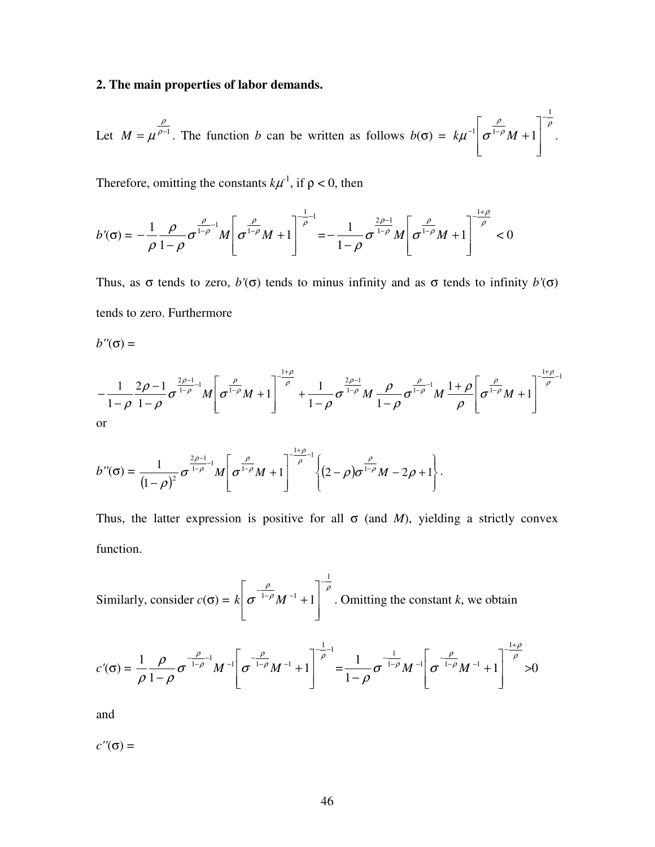#### **2. The main properties of labor demands.**

Let  $M = \mu^{\rho-1}$ ρ  $M = \mu^{\frac{p}{p-1}}$ . The function *b* can be written as follows  $b(\sigma) = k\mu^{-1} \left[ \frac{p}{\sigma^{1-p}} M + 1 \right]$ ρ  $\mu$  |  $\sigma$ 1  $\int_0^1 |\sigma^{1-\rho} M + 1|$ −  $-1$   $-1$  $\overline{\phantom{a}}$  $\overline{\phantom{a}}$  $\rfloor$ 1 L  $\mathsf{L}$ L Γ  $k\mu^{-1}$   $\sigma^{1-\rho}M+1$  .

Therefore, omitting the constants  $k\mu^1$ , if  $\rho < 0$ , then

$$
b'(\sigma) = -\frac{1}{\rho} \frac{\rho}{1-\rho} \sigma^{\frac{\rho}{1-\rho}-1} M \left[ \sigma^{\frac{\rho}{1-\rho}} M + 1 \right]^{-\frac{1}{\rho}-1} = -\frac{1}{1-\rho} \sigma^{\frac{2\rho-1}{1-\rho}} M \left[ \sigma^{\frac{\rho}{1-\rho}} M + 1 \right]^{-\frac{1+\rho}{\rho}} < 0
$$

Thus, as  $\sigma$  tends to zero,  $b'(\sigma)$  tends to minus infinity and as  $\sigma$  tends to infinity  $b'(\sigma)$ tends to zero. Furthermore

$$
b''(\sigma) =
$$

$$
-\frac{1}{1-\rho}\frac{2\rho-1}{1-\rho}\sigma^{\frac{2\rho-1}{1-\rho}}M\left[\sigma^{\frac{\rho}{1-\rho}}M+1\right]^{-\frac{1+\rho}{\rho}}+\frac{1}{1-\rho}\sigma^{\frac{2\rho-1}{1-\rho}}M\frac{\rho}{1-\rho}\sigma^{\frac{\rho}{1-\rho}-1}M\frac{1+\rho}{\rho}\left[\sigma^{\frac{\rho}{1-\rho}}M+1\right]^{-\frac{1+\rho}{\rho}-1}
$$
\nor

$$
b''(\sigma) = \frac{1}{(1-\rho)^2} \sigma^{\frac{2\rho-1}{1-\rho}-1} M \left[ \sigma^{\frac{\rho}{1-\rho}} M + 1 \right]^{-\frac{1+\rho}{\rho}-1} \left\{ (2-\rho) \sigma^{\frac{\rho}{1-\rho}} M - 2\rho + 1 \right\}.
$$

Thus, the latter expression is positive for all  $\sigma$  (and *M*), yielding a strictly convex function.

Similarly, consider  $c(\sigma) = k \left[ \frac{\sigma}{\sigma} \frac{1-\rho}{1-\rho} M^{-1} + 1 \right]^{-\rho}$ ρ σ 1  $1-\rho M^{-1}+1$ −  $-\frac{P}{1-\rho}$ <sub>M</sub> $\overline{\phantom{a}}$  $\overline{\phantom{a}}$  $\rfloor$ 1  $\mathbf{r}$  $\mathbf{r}$ L  $\lceil$  $k | \sigma^{-1-\rho} M^{-1} + 1 |$  . Omitting the constant *k*, we obtain

$$
c'(\sigma) = \frac{1}{\rho} \frac{\rho}{1-\rho} \sigma^{-\frac{\rho}{1-\rho-1}} M^{-1} \left[ \sigma^{-\frac{\rho}{1-\rho}} M^{-1} + 1 \right]^{-\frac{1}{\rho}-1} = \frac{1}{1-\rho} \sigma^{-\frac{1}{1-\rho}} M^{-1} \left[ \sigma^{-\frac{\rho}{1-\rho}} M^{-1} + 1 \right]^{-\frac{1+\rho}{\rho}} > 0
$$

and

 $c''(\sigma) =$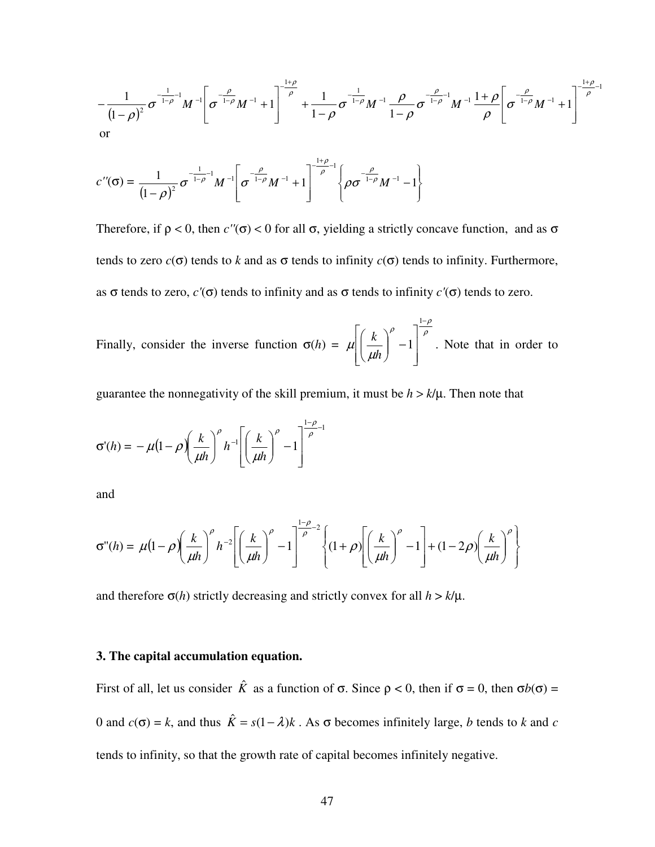$$
-\frac{1}{(1-\rho)^2}\sigma^{-\frac{1}{1-\rho}-1}M^{-1}\left[\sigma^{-\frac{\rho}{1-\rho}}M^{-1}+1\right]^{-\frac{1+\rho}{\rho}}+\frac{1}{1-\rho}\sigma^{-\frac{1}{1-\rho}}M^{-1}\frac{\rho}{1-\rho}\sigma^{-\frac{\rho}{1-\rho}-1}M^{-1}\frac{1+\rho}{\rho}\left[\sigma^{-\frac{\rho}{1-\rho}}M^{-1}+1\right]^{-\frac{1+\rho}{\rho}-1}
$$
\nor

$$
c''(\sigma) = \frac{1}{(1-\rho)^2} \sigma^{-\frac{1}{1-\rho}-1} M^{-1} \left[ \sigma^{-\frac{\rho}{1-\rho}} M^{-1} + 1 \right]^{-\frac{1+\rho}{\rho}-1} \left\{ \rho \sigma^{-\frac{\rho}{1-\rho}} M^{-1} - 1 \right\}
$$

Therefore, if  $\rho < 0$ , then  $c''(\sigma) < 0$  for all  $\sigma$ , yielding a strictly concave function, and as  $\sigma$ tends to zero  $c(\sigma)$  tends to *k* and as  $\sigma$  tends to infinity  $c(\sigma)$  tends to infinity. Furthermore, as σ tends to zero, *c'*(σ) tends to infinity and as σ tends to infinity *c'*(σ) tends to zero.

Finally, consider the inverse function  $\sigma(h)$  = ρ  $ρ \frac{1-\rho}{\rho}$ µ  $\mu_{\mid}$ −  $\overline{\phantom{a}}$  $\overline{\phantom{a}}$  $\rfloor$ 1  $\mathsf{L}$  $\mathbf{r}$ L Γ ∣ − J  $\backslash$  $\mathsf{I}$ l ſ 1 1 *h*  $\left(\frac{k}{l}\right)^{r}$  -1<sup> $\left(\frac{\rho}{l}\right)^{r}$ . Note that in order to</sup>

guarantee the nonnegativity of the skill premium, it must be  $h > k/\mu$ . Then note that

$$
\sigma'(h) = -\mu \left(1 - \rho \right) \left(\frac{k}{\mu h}\right)^{\rho} h^{-1} \left[ \left(\frac{k}{\mu h}\right)^{\rho} - 1 \right]^{\frac{1-\rho}{\rho}-1}
$$

and

$$
\sigma''(h) = \mu \left(1 - \rho \left(\frac{k}{\mu h}\right)^{\rho} h^{-2} \left[ \left(\frac{k}{\mu h}\right)^{\rho} - 1 \right]^{\frac{1-\rho}{\rho} - 2} \left\{ \left(1 + \rho \right) \left[ \left(\frac{k}{\mu h}\right)^{\rho} - 1 \right] + \left(1 - 2\rho \right) \left(\frac{k}{\mu h}\right)^{\rho} \right\}
$$

and therefore  $\sigma(h)$  strictly decreasing and strictly convex for all  $h > k/\mu$ .

#### **3. The capital accumulation equation.**

First of all, let us consider  $\hat{K}$  as a function of  $\sigma$ . Since  $\rho < 0$ , then if  $\sigma = 0$ , then  $\sigma b(\sigma) =$ 0 and  $c(\sigma) = k$ , and thus  $\hat{K} = s(1 - \lambda)k$ . As  $\sigma$  becomes infinitely large, *b* tends to *k* and *c* tends to infinity, so that the growth rate of capital becomes infinitely negative.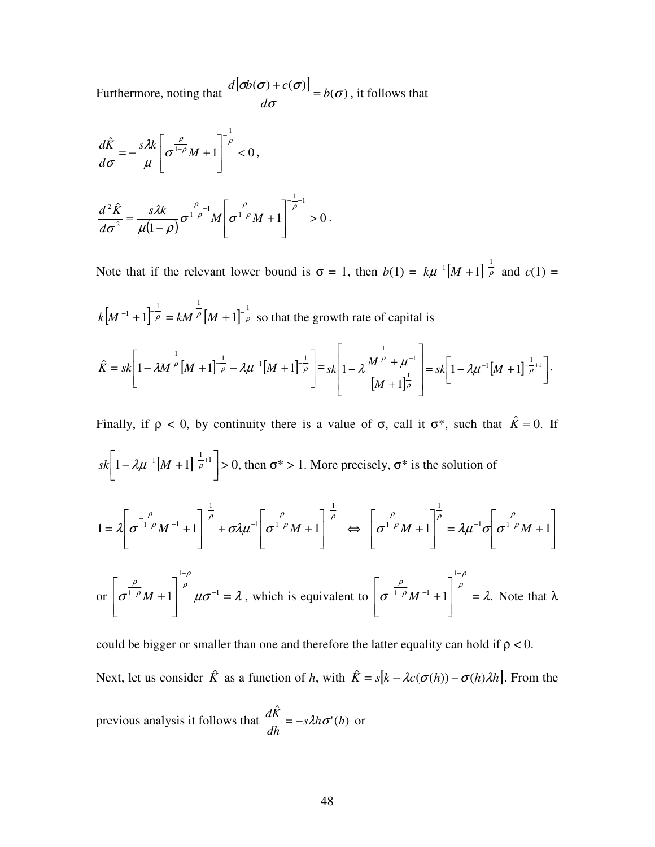Furthermore, noting that  $\frac{d[\sigma b(\sigma) + c(\sigma)]}{\sigma} = b(\sigma)$ σ  $\frac{\sigma b(\sigma) + c(\sigma)}{b} = b$ *d*  $\frac{d[\boldsymbol{\phi}(\boldsymbol{\sigma}) + c(\boldsymbol{\sigma})]}{d\boldsymbol{\phi}} = b(\boldsymbol{\sigma})$ , it follows that

$$
\frac{d\hat{K}}{d\sigma} = -\frac{s\lambda k}{\mu} \left[ \sigma^{\frac{\rho}{1-\rho}} M + 1 \right]^{-\frac{1}{\rho}} < 0,
$$
  

$$
\frac{d^2 \hat{K}}{d\sigma^2} = \frac{s\lambda k}{\mu(1-\rho)} \sigma^{\frac{\rho}{1-\rho}-1} M \left[ \sigma^{\frac{\rho}{1-\rho}} M + 1 \right]^{-\frac{1}{\rho}-1} > 0.
$$

Note that if the relevant lower bound is  $\sigma = 1$ , then  $b(1) = k\mu^{-1}[M+1]^{-\frac{1}{\rho}}$  and  $c(1) =$ 

 $\left[ M^{-1} + 1 \right]^{-\frac{1}{\rho}} = k M^{-\frac{1}{\rho}} \left[ M + 1 \right]^{-\frac{1}{\rho}}$  $k[M^{-1} + 1]^{-\frac{1}{\rho}} = kM^{\frac{1}{\rho}}[M + 1]^{-\frac{1}{\rho}}$  so that the growth rate of capital is

$$
\hat{K} = sk \left[ 1 - \lambda M \frac{\frac{1}{\rho}}{M+1} \frac{1}{\rho} - \lambda \mu^{-1} \left[ M+1 \right] \frac{1}{\rho} \right] = sk \left[ 1 - \lambda \frac{M \frac{1}{\rho} + \mu^{-1}}{M+1 \rho} \right] = sk \left[ 1 - \lambda \mu^{-1} \left[ M+1 \right] \frac{1}{\rho} + 1 \right].
$$

Finally, if  $\rho < 0$ , by continuity there is a value of  $\sigma$ , call it  $\sigma^*$ , such that  $\hat{K} = 0$ . If

$$
sk\left[1 - \lambda \mu^{-1} \left[M + 1\right]^{-\frac{1}{\rho} + 1}\right] > 0
$$
, then  $\sigma^* > 1$ . More precisely,  $\sigma^*$  is the solution of

$$
1 = \lambda \left[ \sigma^{-\frac{\rho}{1-\rho}} M^{-1} + 1 \right]^{-\frac{1}{\rho}} + \sigma \lambda \mu^{-1} \left[ \sigma^{\frac{\rho}{1-\rho}} M + 1 \right]^{-\frac{1}{\rho}} \iff \left[ \sigma^{\frac{\rho}{1-\rho}} M + 1 \right]^{-\frac{1}{\rho}} = \lambda \mu^{-1} \sigma \left[ \sigma^{\frac{\rho}{1-\rho}} M + 1 \right]
$$

or 
$$
\left[\sigma^{\frac{\rho}{1-\rho}}M+1\right]^{\frac{1-\rho}{\rho}}\mu\sigma^{-1}=\lambda
$$
, which is equivalent to  $\left[\sigma^{\frac{\rho}{1-\rho}}M^{-1}+1\right]^{\frac{1-\rho}{\rho}}=\lambda$ . Note that  $\lambda$ 

could be bigger or smaller than one and therefore the latter equality can hold if  $\rho < 0$ . Next, let us consider  $\hat{K}$  as a function of *h*, with  $\hat{K} = s[k - \lambda c(\sigma(h)) - \sigma(h)\lambda h]$ . From the ˆ

previous analysis it follows that  $\frac{dX}{dX} = -s \lambda h \sigma'(h)$  $s\lambda h\sigma'$ (h *dh*  $\frac{d\vec{K}}{dt} = -s\lambda h\sigma'(h)$  or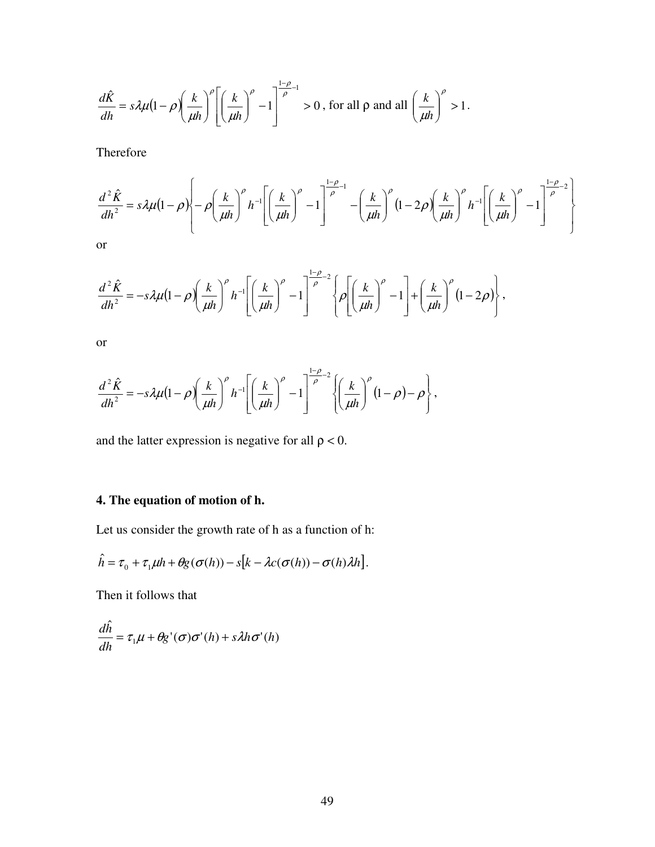$$
\frac{d\hat{K}}{dh} = s\lambda\mu\left(1-\rho\left(\frac{k}{\mu h}\right)^{\rho}\left[\left(\frac{k}{\mu h}\right)^{\rho} - 1\right]^{\frac{1-\rho}{\rho}} > 0, \text{ for all } \rho \text{ and all } \left(\frac{k}{\mu h}\right)^{\rho} > 1.
$$

Therefore

$$
\frac{d^2\hat{K}}{dh^2} = s\lambda\mu(1-\rho)\left[-\rho\left(\frac{k}{\mu h}\right)^{\rho}h^{-1}\left[\left(\frac{k}{\mu h}\right)^{\rho}-1\right]^{\frac{1-\rho}{\rho}-1}-\left(\frac{k}{\mu h}\right)^{\rho}(1-2\rho)\left(\frac{k}{\mu h}\right)^{\rho}h^{-1}\left[\left(\frac{k}{\mu h}\right)^{\rho}-1\right]^{\frac{1-\rho}{\rho}-2}\right]
$$
\nor

$$
\frac{d^2\hat{K}}{dh^2} = -s\lambda\mu(1-\rho)\left(\frac{k}{\mu h}\right)^{\rho}h^{-1}\left[\left(\frac{k}{\mu h}\right)^{\rho}-1\right]^{\frac{1-\rho}{\rho}-2}\left\{\rho\left[\left(\frac{k}{\mu h}\right)^{\rho}-1\right]+\left(\frac{k}{\mu h}\right)^{\rho}(1-2\rho)\right\},\right]
$$

or

$$
\frac{d^2\hat{K}}{dh^2} = -s\lambda\mu(1-\rho)\left(\frac{k}{\mu h}\right)^{\rho}h^{-1}\left[\left(\frac{k}{\mu h}\right)^{\rho}-1\right]^{\frac{1-\rho}{\rho}-2}\left\{\left(\frac{k}{\mu h}\right)^{\rho}(1-\rho)-\rho\right\},\,
$$

and the latter expression is negative for all  $\rho < 0$ .

#### **4. The equation of motion of h.**

Let us consider the growth rate of h as a function of h:

$$
\hat{h} = \tau_0 + \tau_1 \mu h + \theta g(\sigma(h)) - s[k - \lambda c(\sigma(h)) - \sigma(h)\lambda h].
$$

Then it follows that

$$
\frac{d\hat{h}}{dh} = \tau_1 \mu + \theta g'(\sigma) \sigma'(h) + s \lambda h \sigma'(h)
$$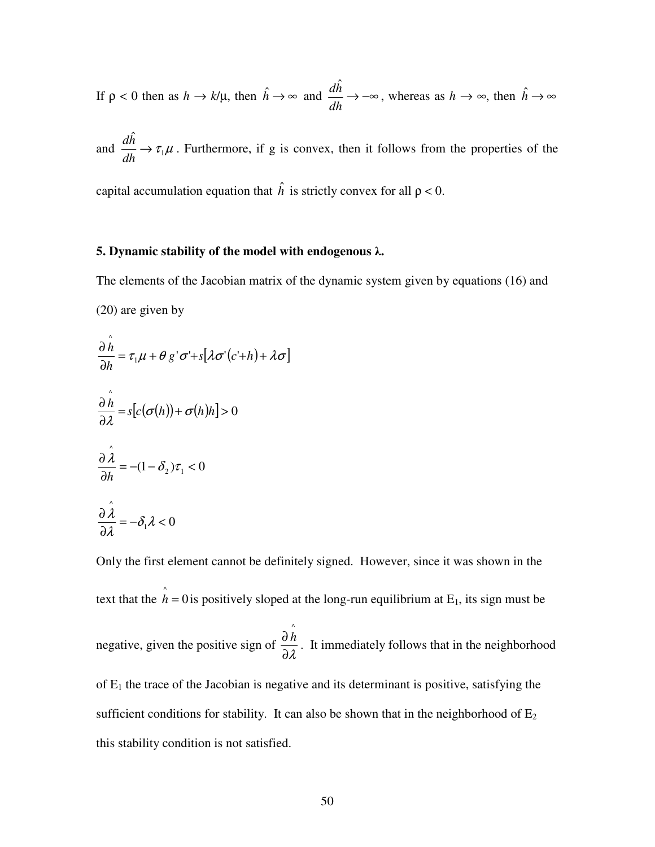If  $\rho < 0$  then as  $h \to k/\mu$ , then  $\hat{h} \to \infty$  and  $\frac{dn}{dt} \to -\infty$ *dh dh* ˆ , whereas as  $h \to \infty$ , then  $\hat{h} \to \infty$ 

and  $\frac{d\mathcal{H}}{d\mathcal{H}} \to \tau_1 \mu$  $\hat{h}$  $\rightarrow$ *dh*  $\frac{dh}{dt} \rightarrow \tau_1 \mu$ . Furthermore, if g is convex, then it follows from the properties of the

capital accumulation equation that  $\hat{h}$  is strictly convex for all  $\rho < 0$ .

#### **5. Dynamic stability of the model with endogenous** λ**.**

The elements of the Jacobian matrix of the dynamic system given by equations (16) and (20) are given by  $\hat{\phantom{a}}$ 

$$
\frac{\partial h}{\partial h} = \tau_1 \mu + \theta g' \sigma' + s[\lambda \sigma'(c' + h) + \lambda \sigma]
$$
  

$$
\frac{\partial \hat{h}}{\partial \lambda} = s[c(\sigma(h)) + \sigma(h)h] > 0
$$
  

$$
\frac{\partial \hat{\lambda}}{\partial h} = -(1 - \delta_2)\tau_1 < 0
$$
  

$$
\frac{\partial \hat{\lambda}}{\partial \lambda} = -\delta_1 \lambda < 0
$$

Only the first element cannot be definitely signed. However, since it was shown in the text that the  $\hat{h} = 0$  is positively sloped at the long-run equilibrium at E<sub>1</sub>, its sign must be negative, given the positive sign of ∂λ  $\frac{\partial \hat{h}}{\partial \rho}$ . It immediately follows that in the neighborhood of  $E_1$  the trace of the Jacobian is negative and its determinant is positive, satisfying the sufficient conditions for stability. It can also be shown that in the neighborhood of  $E<sub>2</sub>$ this stability condition is not satisfied.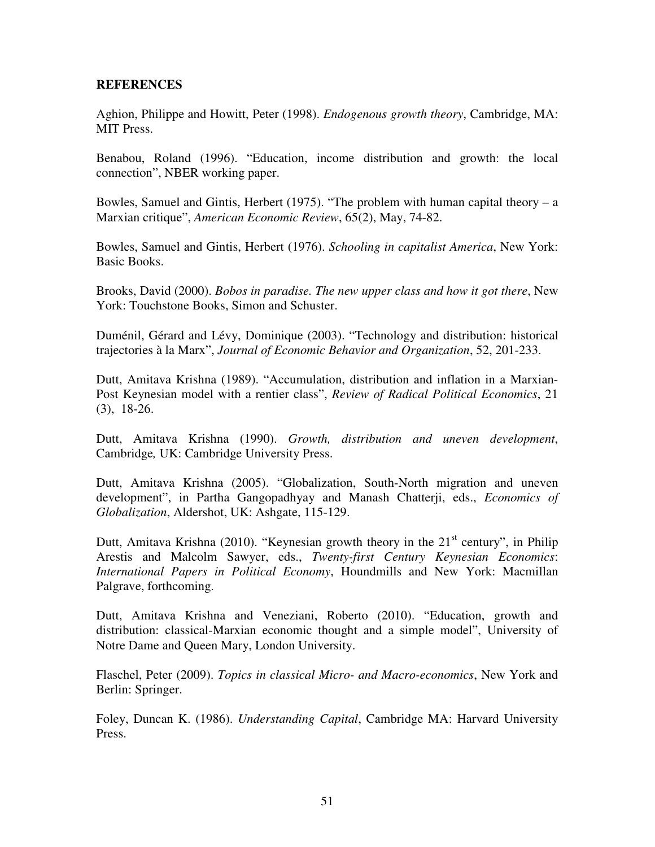#### **REFERENCES**

Aghion, Philippe and Howitt, Peter (1998). *Endogenous growth theory*, Cambridge, MA: MIT Press.

Benabou, Roland (1996). "Education, income distribution and growth: the local connection", NBER working paper.

Bowles, Samuel and Gintis, Herbert (1975). "The problem with human capital theory  $- a$ Marxian critique", *American Economic Review*, 65(2), May, 74-82.

Bowles, Samuel and Gintis, Herbert (1976). *Schooling in capitalist America*, New York: Basic Books.

Brooks, David (2000). *Bobos in paradise. The new upper class and how it got there*, New York: Touchstone Books, Simon and Schuster.

Duménil, Gérard and Lévy, Dominique (2003). "Technology and distribution: historical trajectories à la Marx", *Journal of Economic Behavior and Organization*, 52, 201-233.

Dutt, Amitava Krishna (1989). "Accumulation, distribution and inflation in a Marxian-Post Keynesian model with a rentier class", *Review of Radical Political Economics*, 21 (3), 18-26.

Dutt, Amitava Krishna (1990). *Growth, distribution and uneven development*, Cambridge*,* UK: Cambridge University Press.

Dutt, Amitava Krishna (2005). "Globalization, South-North migration and uneven development", in Partha Gangopadhyay and Manash Chatterji, eds., *Economics of Globalization*, Aldershot, UK: Ashgate, 115-129.

Dutt, Amitava Krishna (2010). "Keynesian growth theory in the  $21<sup>st</sup>$  century", in Philip Arestis and Malcolm Sawyer, eds., *Twenty-first Century Keynesian Economics*: *International Papers in Political Economy*, Houndmills and New York: Macmillan Palgrave, forthcoming.

Dutt, Amitava Krishna and Veneziani, Roberto (2010). "Education, growth and distribution: classical-Marxian economic thought and a simple model", University of Notre Dame and Queen Mary, London University.

Flaschel, Peter (2009). *Topics in classical Micro- and Macro-economics*, New York and Berlin: Springer.

Foley, Duncan K. (1986). *Understanding Capital*, Cambridge MA: Harvard University Press.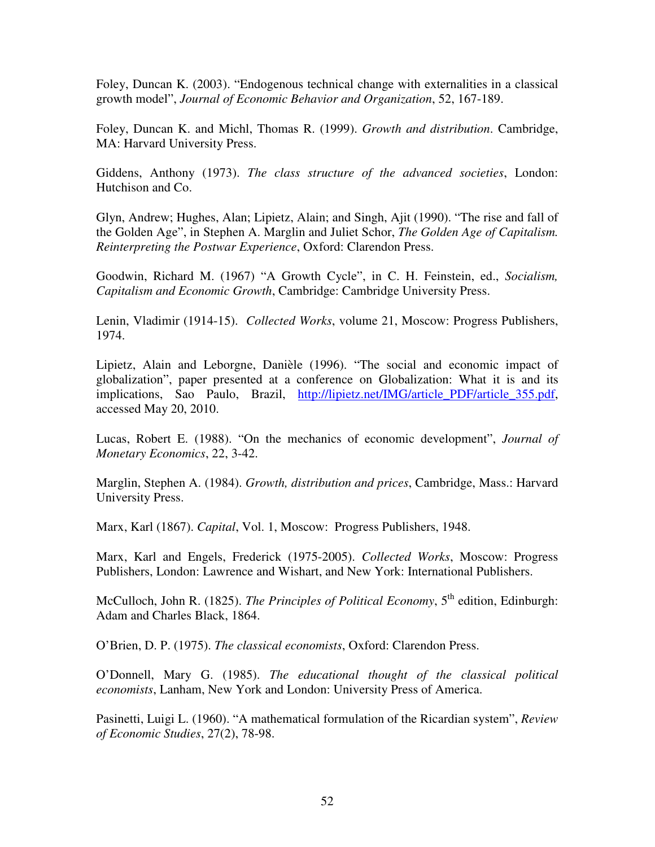Foley, Duncan K. (2003). "Endogenous technical change with externalities in a classical growth model", *Journal of Economic Behavior and Organization*, 52, 167-189.

Foley, Duncan K. and Michl, Thomas R. (1999). *Growth and distribution*. Cambridge, MA: Harvard University Press.

Giddens, Anthony (1973). *The class structure of the advanced societies*, London: Hutchison and Co.

Glyn, Andrew; Hughes, Alan; Lipietz, Alain; and Singh, Ajit (1990). "The rise and fall of the Golden Age", in Stephen A. Marglin and Juliet Schor, *The Golden Age of Capitalism. Reinterpreting the Postwar Experience*, Oxford: Clarendon Press.

Goodwin, Richard M. (1967) "A Growth Cycle", in C. H. Feinstein, ed., *Socialism, Capitalism and Economic Growth*, Cambridge: Cambridge University Press.

Lenin, Vladimir (1914-15). *Collected Works*, volume 21, Moscow: Progress Publishers, 1974.

Lipietz, Alain and Leborgne, Danièle (1996). "The social and economic impact of globalization", paper presented at a conference on Globalization: What it is and its implications, Sao Paulo, Brazil, http://lipietz.net/IMG/article\_PDF/article\_355.pdf, accessed May 20, 2010.

Lucas, Robert E. (1988). "On the mechanics of economic development", *Journal of Monetary Economics*, 22, 3-42.

Marglin, Stephen A. (1984). *Growth, distribution and prices*, Cambridge, Mass.: Harvard University Press.

Marx, Karl (1867). *Capital*, Vol. 1, Moscow: Progress Publishers, 1948.

Marx, Karl and Engels, Frederick (1975-2005). *Collected Works*, Moscow: Progress Publishers, London: Lawrence and Wishart, and New York: International Publishers.

McCulloch, John R. (1825). *The Principles of Political Economy*, 5<sup>th</sup> edition, Edinburgh: Adam and Charles Black, 1864.

O'Brien, D. P. (1975). *The classical economists*, Oxford: Clarendon Press.

O'Donnell, Mary G. (1985). *The educational thought of the classical political economists*, Lanham, New York and London: University Press of America.

Pasinetti, Luigi L. (1960). "A mathematical formulation of the Ricardian system", *Review of Economic Studies*, 27(2), 78-98.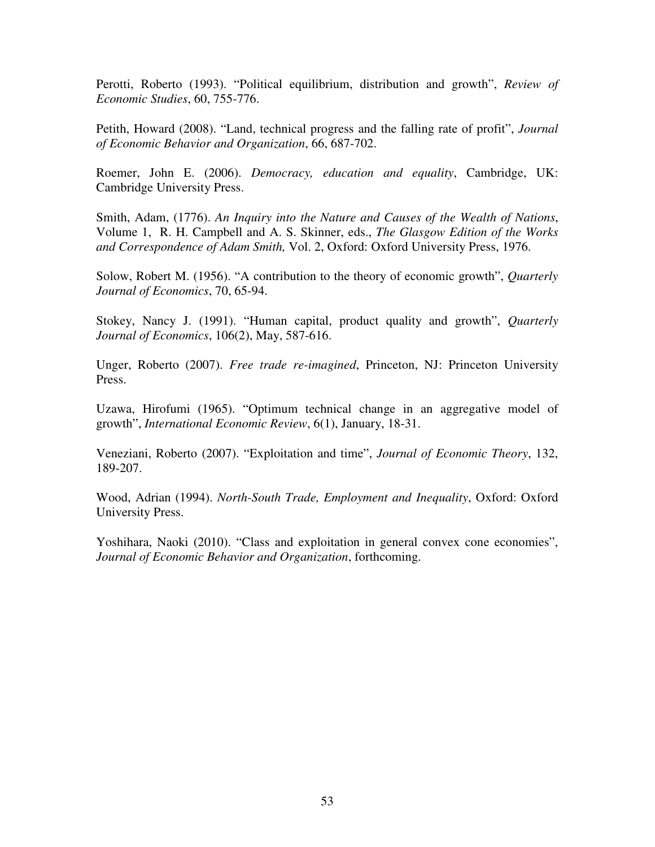Perotti, Roberto (1993). "Political equilibrium, distribution and growth", *Review of Economic Studies*, 60, 755-776.

Petith, Howard (2008). "Land, technical progress and the falling rate of profit", *Journal of Economic Behavior and Organization*, 66, 687-702.

Roemer, John E. (2006). *Democracy, education and equality*, Cambridge, UK: Cambridge University Press.

Smith, Adam, (1776). *An Inquiry into the Nature and Causes of the Wealth of Nations*, Volume 1, R. H. Campbell and A. S. Skinner, eds., *The Glasgow Edition of the Works and Correspondence of Adam Smith,* Vol. 2, Oxford: Oxford University Press, 1976.

Solow, Robert M. (1956). "A contribution to the theory of economic growth", *Quarterly Journal of Economics*, 70, 65-94.

Stokey, Nancy J. (1991). "Human capital, product quality and growth", *Quarterly Journal of Economics*, 106(2), May, 587-616.

Unger, Roberto (2007). *Free trade re-imagined*, Princeton, NJ: Princeton University Press.

Uzawa, Hirofumi (1965). "Optimum technical change in an aggregative model of growth", *International Economic Review*, 6(1), January, 18-31.

Veneziani, Roberto (2007). "Exploitation and time", *Journal of Economic Theory*, 132, 189-207.

Wood, Adrian (1994). *North-South Trade, Employment and Inequality*, Oxford: Oxford University Press.

Yoshihara, Naoki (2010). "Class and exploitation in general convex cone economies", *Journal of Economic Behavior and Organization*, forthcoming.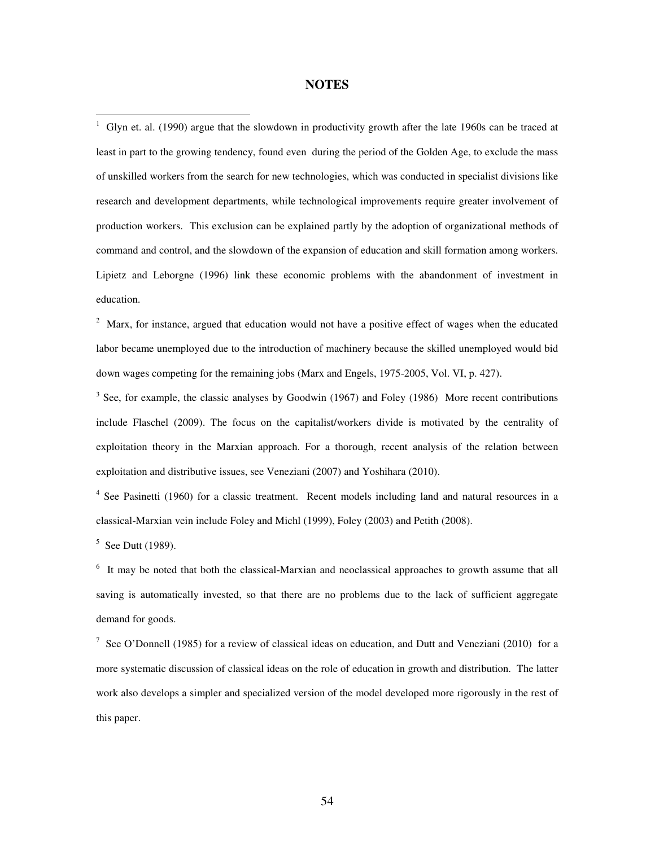#### **NOTES**

<sup>1</sup> Glyn et. al. (1990) argue that the slowdown in productivity growth after the late 1960s can be traced at least in part to the growing tendency, found even during the period of the Golden Age, to exclude the mass of unskilled workers from the search for new technologies, which was conducted in specialist divisions like research and development departments, while technological improvements require greater involvement of production workers. This exclusion can be explained partly by the adoption of organizational methods of command and control, and the slowdown of the expansion of education and skill formation among workers. Lipietz and Leborgne (1996) link these economic problems with the abandonment of investment in education.

 $2$  Marx, for instance, argued that education would not have a positive effect of wages when the educated labor became unemployed due to the introduction of machinery because the skilled unemployed would bid down wages competing for the remaining jobs (Marx and Engels, 1975-2005, Vol. VI, p. 427).

 $3$  See, for example, the classic analyses by Goodwin (1967) and Foley (1986) More recent contributions include Flaschel (2009). The focus on the capitalist/workers divide is motivated by the centrality of exploitation theory in the Marxian approach. For a thorough, recent analysis of the relation between exploitation and distributive issues, see Veneziani (2007) and Yoshihara (2010).

<sup>4</sup> See Pasinetti (1960) for a classic treatment. Recent models including land and natural resources in a classical-Marxian vein include Foley and Michl (1999), Foley (2003) and Petith (2008).

 $5$  See Dutt (1989).

<sup>6</sup> It may be noted that both the classical-Marxian and neoclassical approaches to growth assume that all saving is automatically invested, so that there are no problems due to the lack of sufficient aggregate demand for goods.

<sup>7</sup> See O'Donnell (1985) for a review of classical ideas on education, and Dutt and Veneziani (2010) for a more systematic discussion of classical ideas on the role of education in growth and distribution. The latter work also develops a simpler and specialized version of the model developed more rigorously in the rest of this paper.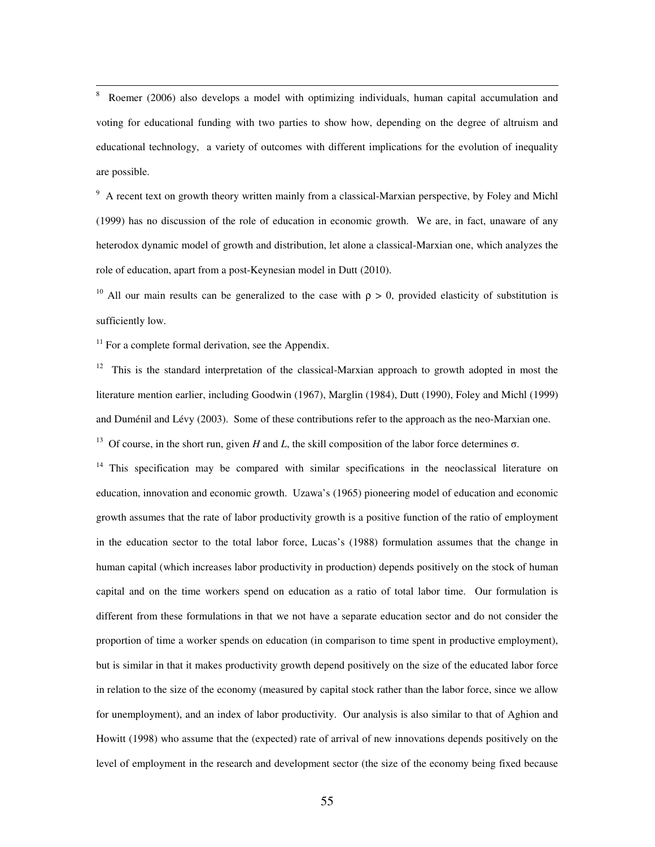8 Roemer (2006) also develops a model with optimizing individuals, human capital accumulation and voting for educational funding with two parties to show how, depending on the degree of altruism and educational technology, a variety of outcomes with different implications for the evolution of inequality are possible.

<sup>9</sup> A recent text on growth theory written mainly from a classical-Marxian perspective, by Foley and Michl (1999) has no discussion of the role of education in economic growth. We are, in fact, unaware of any heterodox dynamic model of growth and distribution, let alone a classical-Marxian one, which analyzes the role of education, apart from a post-Keynesian model in Dutt (2010).

<sup>10</sup> All our main results can be generalized to the case with  $\rho > 0$ , provided elasticity of substitution is sufficiently low.

 $11$  For a complete formal derivation, see the Appendix.

 $12$  This is the standard interpretation of the classical-Marxian approach to growth adopted in most the literature mention earlier, including Goodwin (1967), Marglin (1984), Dutt (1990), Foley and Michl (1999) and Duménil and Lévy (2003). Some of these contributions refer to the approach as the neo-Marxian one.

<sup>13</sup> Of course, in the short run, given *H* and *L*, the skill composition of the labor force determines σ.

 $14$  This specification may be compared with similar specifications in the neoclassical literature on education, innovation and economic growth. Uzawa's (1965) pioneering model of education and economic growth assumes that the rate of labor productivity growth is a positive function of the ratio of employment in the education sector to the total labor force, Lucas's (1988) formulation assumes that the change in human capital (which increases labor productivity in production) depends positively on the stock of human capital and on the time workers spend on education as a ratio of total labor time. Our formulation is different from these formulations in that we not have a separate education sector and do not consider the proportion of time a worker spends on education (in comparison to time spent in productive employment), but is similar in that it makes productivity growth depend positively on the size of the educated labor force in relation to the size of the economy (measured by capital stock rather than the labor force, since we allow for unemployment), and an index of labor productivity. Our analysis is also similar to that of Aghion and Howitt (1998) who assume that the (expected) rate of arrival of new innovations depends positively on the level of employment in the research and development sector (the size of the economy being fixed because